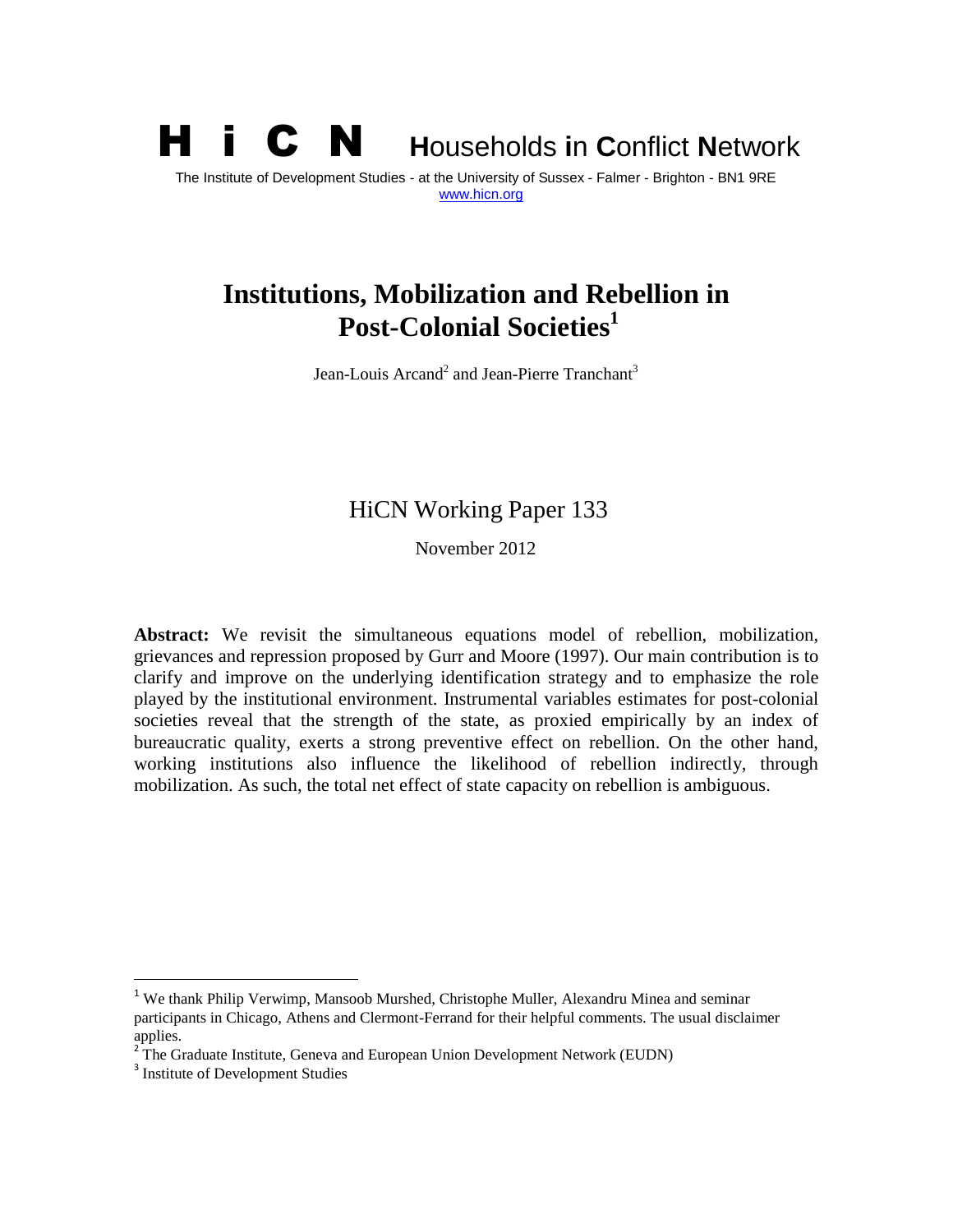# H i C N **<sup>H</sup>**ouseholds **i**n **C**onflict **<sup>N</sup>**etwork The Institute of Development Studies - at the University of Sussex - Falmer - Brighton - BN1 9RE [www.hicn.org](http://www.hicn.org/)

# **Institutions, Mobilization and Rebellion in Post-Colonial Societies<sup>1</sup>**

Jean-Louis Arcand<sup>2</sup> and Jean-Pierre Tranchant<sup>3</sup>

### HiCN Working Paper 133

November 2012

**Abstract:** We revisit the simultaneous equations model of rebellion, mobilization, grievances and repression proposed by Gurr and Moore (1997). Our main contribution is to clarify and improve on the underlying identification strategy and to emphasize the role played by the institutional environment. Instrumental variables estimates for post-colonial societies reveal that the strength of the state, as proxied empirically by an index of bureaucratic quality, exerts a strong preventive effect on rebellion. On the other hand, working institutions also influence the likelihood of rebellion indirectly, through mobilization. As such, the total net effect of state capacity on rebellion is ambiguous.

 $\ddot{\phantom{a}}$ 

<sup>&</sup>lt;sup>1</sup> We thank Philip Verwimp, Mansoob Murshed, Christophe Muller, Alexandru Minea and seminar participants in Chicago, Athens and Clermont-Ferrand for their helpful comments. The usual disclaimer applies.

<sup>&</sup>lt;sup>2</sup> The Graduate Institute, Geneva and European Union Development Network (EUDN)

<sup>&</sup>lt;sup>3</sup> Institute of Development Studies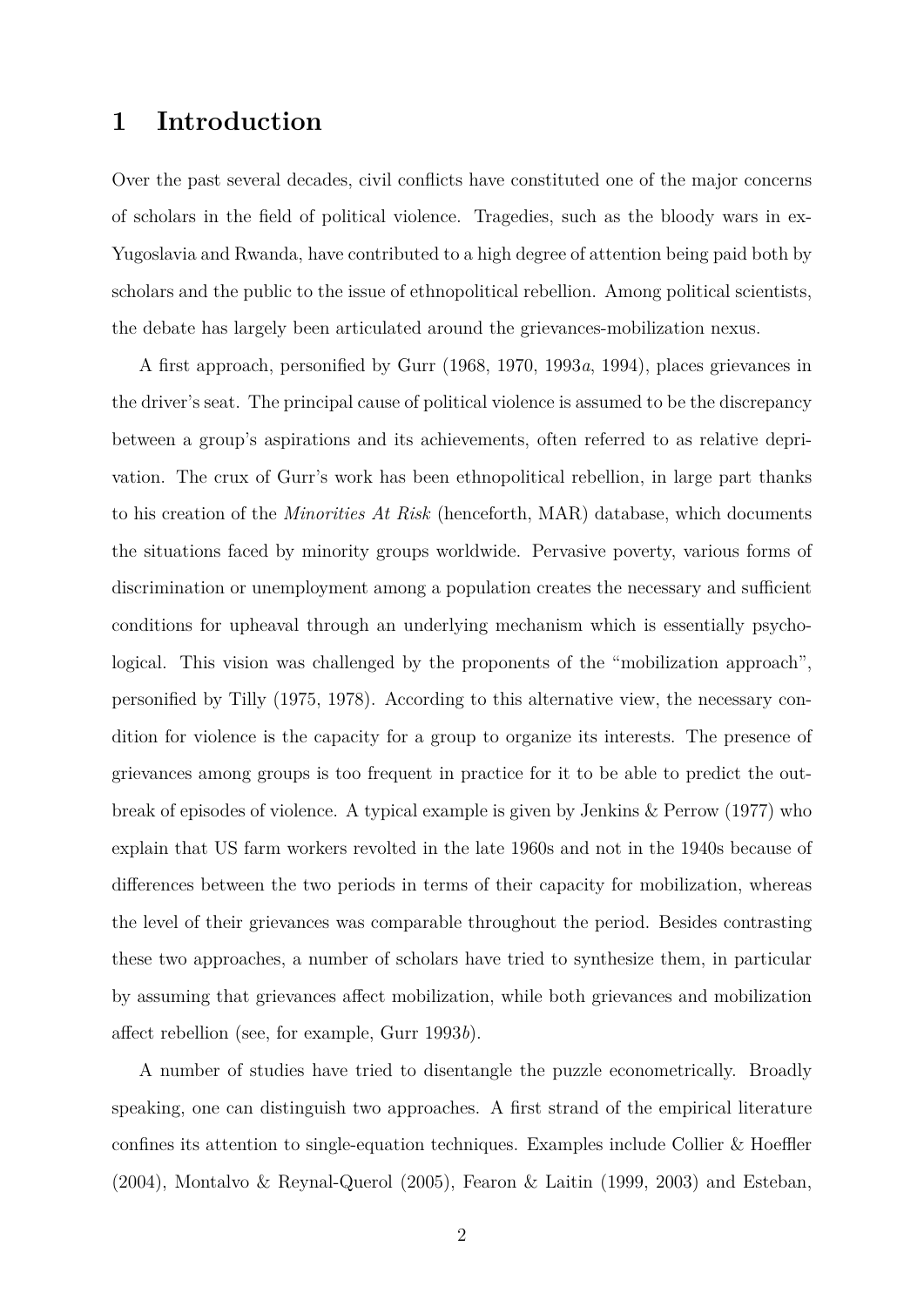# **1 Introduction**

Over the past several decades, civil conflicts have constituted one of the major concerns of scholars in the field of political violence. Tragedies, such as the bloody wars in ex-Yugoslavia and Rwanda, have contributed to a high degree of attention being paid both by scholars and the public to the issue of ethnopolitical rebellion. Among political scientists, the debate has largely been articulated around the grievances-mobilization nexus.

A first approach, personified by Gurr (1968, 1970, 1993*a*, 1994), places grievances in the driver's seat. The principal cause of political violence is assumed to be the discrepancy between a group's aspirations and its achievements, often referred to as relative deprivation. The crux of Gurr's work has been ethnopolitical rebellion, in large part thanks to his creation of the *Minorities At Risk* (henceforth, MAR) database, which documents the situations faced by minority groups worldwide. Pervasive poverty, various forms of discrimination or unemployment among a population creates the necessary and sufficient conditions for upheaval through an underlying mechanism which is essentially psychological. This vision was challenged by the proponents of the "mobilization approach", personified by Tilly (1975, 1978). According to this alternative view, the necessary condition for violence is the capacity for a group to organize its interests. The presence of grievances among groups is too frequent in practice for it to be able to predict the outbreak of episodes of violence. A typical example is given by Jenkins & Perrow (1977) who explain that US farm workers revolted in the late 1960s and not in the 1940s because of differences between the two periods in terms of their capacity for mobilization, whereas the level of their grievances was comparable throughout the period. Besides contrasting these two approaches, a number of scholars have tried to synthesize them, in particular by assuming that grievances affect mobilization, while both grievances and mobilization affect rebellion (see, for example, Gurr 1993*b*).

A number of studies have tried to disentangle the puzzle econometrically. Broadly speaking, one can distinguish two approaches. A first strand of the empirical literature confines its attention to single-equation techniques. Examples include Collier & Hoeffler (2004), Montalvo & Reynal-Querol (2005), Fearon & Laitin (1999, 2003) and Esteban,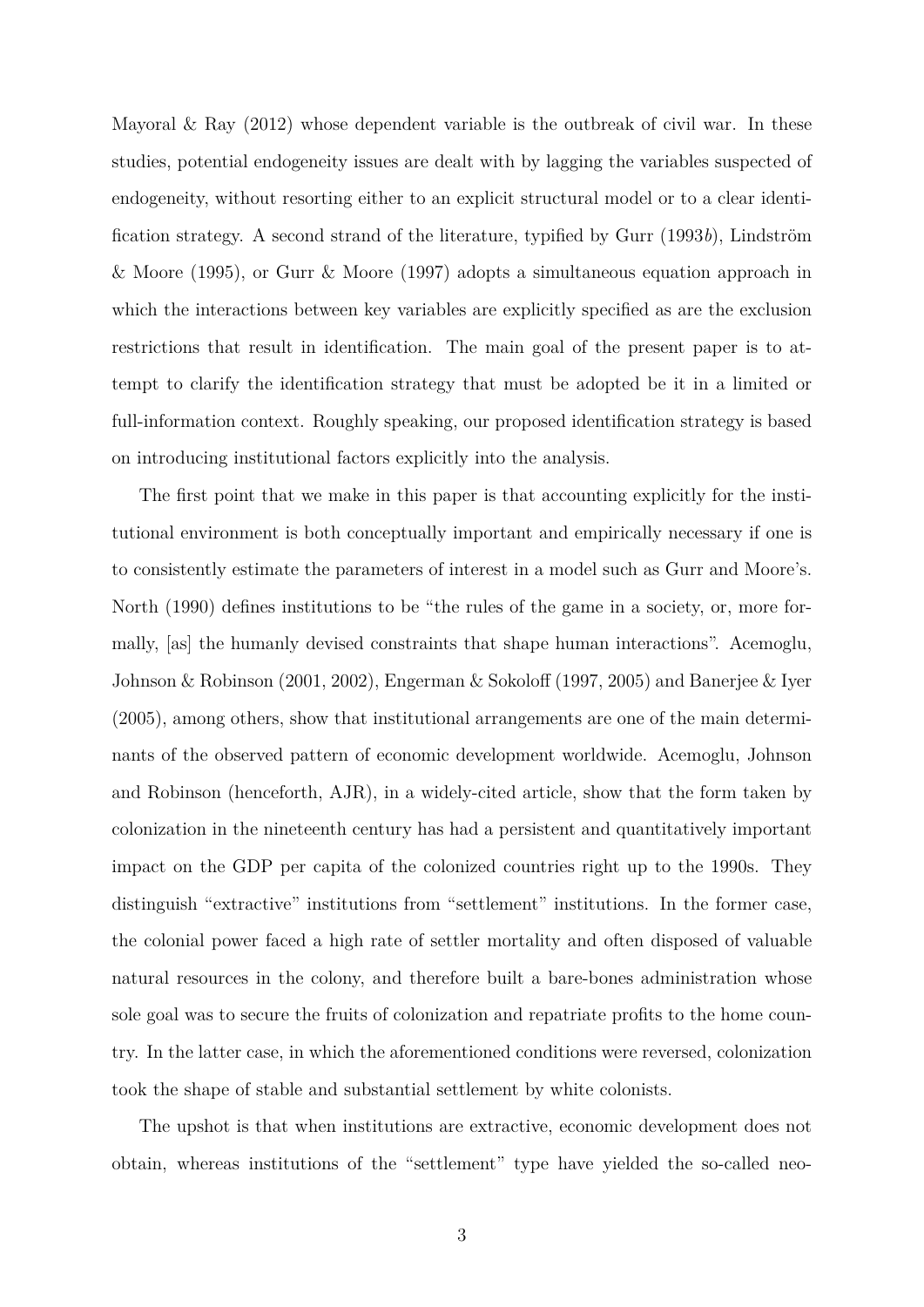Mayoral  $\&$  Ray (2012) whose dependent variable is the outbreak of civil war. In these studies, potential endogeneity issues are dealt with by lagging the variables suspected of endogeneity, without resorting either to an explicit structural model or to a clear identification strategy. A second strand of the literature, typified by Gurr (1993*b*), Lindström & Moore (1995), or Gurr & Moore (1997) adopts a simultaneous equation approach in which the interactions between key variables are explicitly specified as are the exclusion restrictions that result in identification. The main goal of the present paper is to attempt to clarify the identification strategy that must be adopted be it in a limited or full-information context. Roughly speaking, our proposed identification strategy is based on introducing institutional factors explicitly into the analysis.

The first point that we make in this paper is that accounting explicitly for the institutional environment is both conceptually important and empirically necessary if one is to consistently estimate the parameters of interest in a model such as Gurr and Moore's. North (1990) defines institutions to be "the rules of the game in a society, or, more formally, [as] the humanly devised constraints that shape human interactions". Acemoglu, Johnson & Robinson (2001, 2002), Engerman & Sokoloff (1997, 2005) and Banerjee & Iyer (2005), among others, show that institutional arrangements are one of the main determinants of the observed pattern of economic development worldwide. Acemoglu, Johnson and Robinson (henceforth, AJR), in a widely-cited article, show that the form taken by colonization in the nineteenth century has had a persistent and quantitatively important impact on the GDP per capita of the colonized countries right up to the 1990s. They distinguish "extractive" institutions from "settlement" institutions. In the former case, the colonial power faced a high rate of settler mortality and often disposed of valuable natural resources in the colony, and therefore built a bare-bones administration whose sole goal was to secure the fruits of colonization and repatriate profits to the home country. In the latter case, in which the aforementioned conditions were reversed, colonization took the shape of stable and substantial settlement by white colonists.

The upshot is that when institutions are extractive, economic development does not obtain, whereas institutions of the "settlement" type have yielded the so-called neo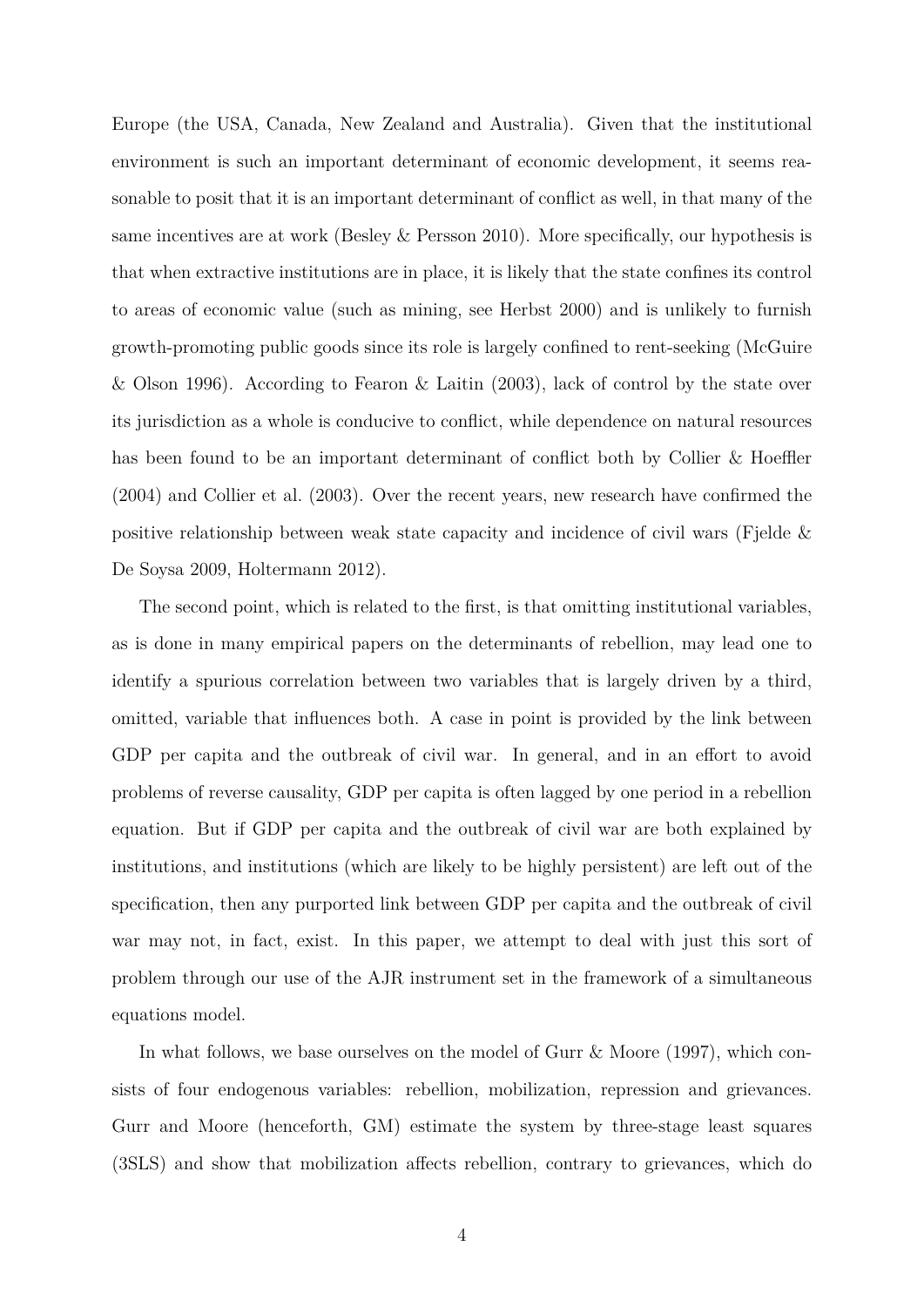Europe (the USA, Canada, New Zealand and Australia). Given that the institutional environment is such an important determinant of economic development, it seems reasonable to posit that it is an important determinant of conflict as well, in that many of the same incentives are at work (Besley & Persson 2010). More specifically, our hypothesis is that when extractive institutions are in place, it is likely that the state confines its control to areas of economic value (such as mining, see Herbst 2000) and is unlikely to furnish growth-promoting public goods since its role is largely confined to rent-seeking (McGuire & Olson 1996). According to Fearon & Laitin (2003), lack of control by the state over its jurisdiction as a whole is conducive to conflict, while dependence on natural resources has been found to be an important determinant of conflict both by Collier & Hoeffler (2004) and Collier et al. (2003). Over the recent years, new research have confirmed the positive relationship between weak state capacity and incidence of civil wars (Fjelde & De Soysa 2009, Holtermann 2012).

The second point, which is related to the first, is that omitting institutional variables, as is done in many empirical papers on the determinants of rebellion, may lead one to identify a spurious correlation between two variables that is largely driven by a third, omitted, variable that influences both. A case in point is provided by the link between GDP per capita and the outbreak of civil war. In general, and in an effort to avoid problems of reverse causality, GDP per capita is often lagged by one period in a rebellion equation. But if GDP per capita and the outbreak of civil war are both explained by institutions, and institutions (which are likely to be highly persistent) are left out of the specification, then any purported link between GDP per capita and the outbreak of civil war may not, in fact, exist. In this paper, we attempt to deal with just this sort of problem through our use of the AJR instrument set in the framework of a simultaneous equations model.

In what follows, we base ourselves on the model of Gurr & Moore (1997), which consists of four endogenous variables: rebellion, mobilization, repression and grievances. Gurr and Moore (henceforth, GM) estimate the system by three-stage least squares (3SLS) and show that mobilization affects rebellion, contrary to grievances, which do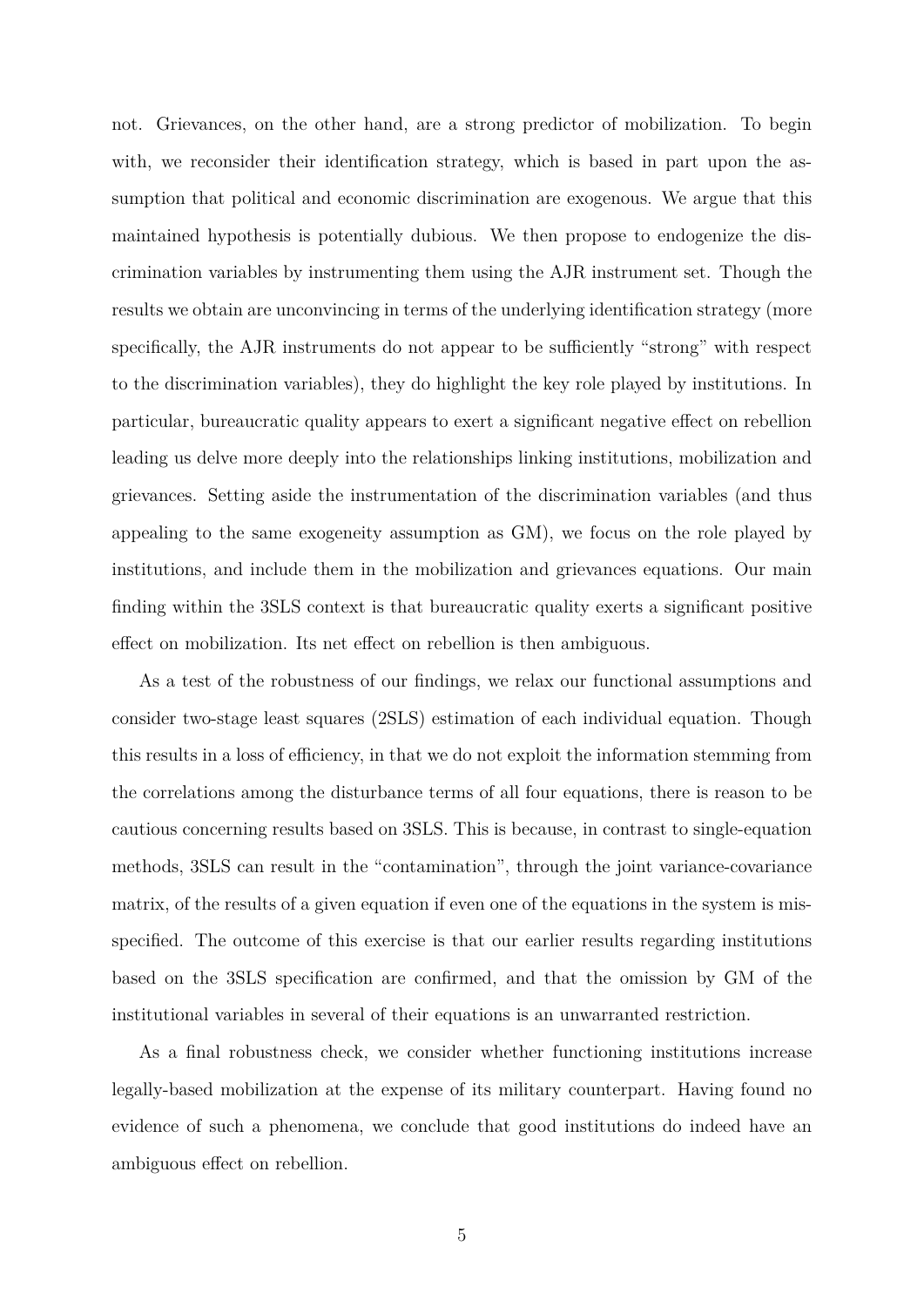not. Grievances, on the other hand, are a strong predictor of mobilization. To begin with, we reconsider their identification strategy, which is based in part upon the assumption that political and economic discrimination are exogenous. We argue that this maintained hypothesis is potentially dubious. We then propose to endogenize the discrimination variables by instrumenting them using the AJR instrument set. Though the results we obtain are unconvincing in terms of the underlying identification strategy (more specifically, the AJR instruments do not appear to be sufficiently "strong" with respect to the discrimination variables), they do highlight the key role played by institutions. In particular, bureaucratic quality appears to exert a significant negative effect on rebellion leading us delve more deeply into the relationships linking institutions, mobilization and grievances. Setting aside the instrumentation of the discrimination variables (and thus appealing to the same exogeneity assumption as GM), we focus on the role played by institutions, and include them in the mobilization and grievances equations. Our main finding within the 3SLS context is that bureaucratic quality exerts a significant positive effect on mobilization. Its net effect on rebellion is then ambiguous.

As a test of the robustness of our findings, we relax our functional assumptions and consider two-stage least squares (2SLS) estimation of each individual equation. Though this results in a loss of efficiency, in that we do not exploit the information stemming from the correlations among the disturbance terms of all four equations, there is reason to be cautious concerning results based on 3SLS. This is because, in contrast to single-equation methods, 3SLS can result in the "contamination", through the joint variance-covariance matrix, of the results of a given equation if even one of the equations in the system is misspecified. The outcome of this exercise is that our earlier results regarding institutions based on the 3SLS specification are confirmed, and that the omission by GM of the institutional variables in several of their equations is an unwarranted restriction.

As a final robustness check, we consider whether functioning institutions increase legally-based mobilization at the expense of its military counterpart. Having found no evidence of such a phenomena, we conclude that good institutions do indeed have an ambiguous effect on rebellion.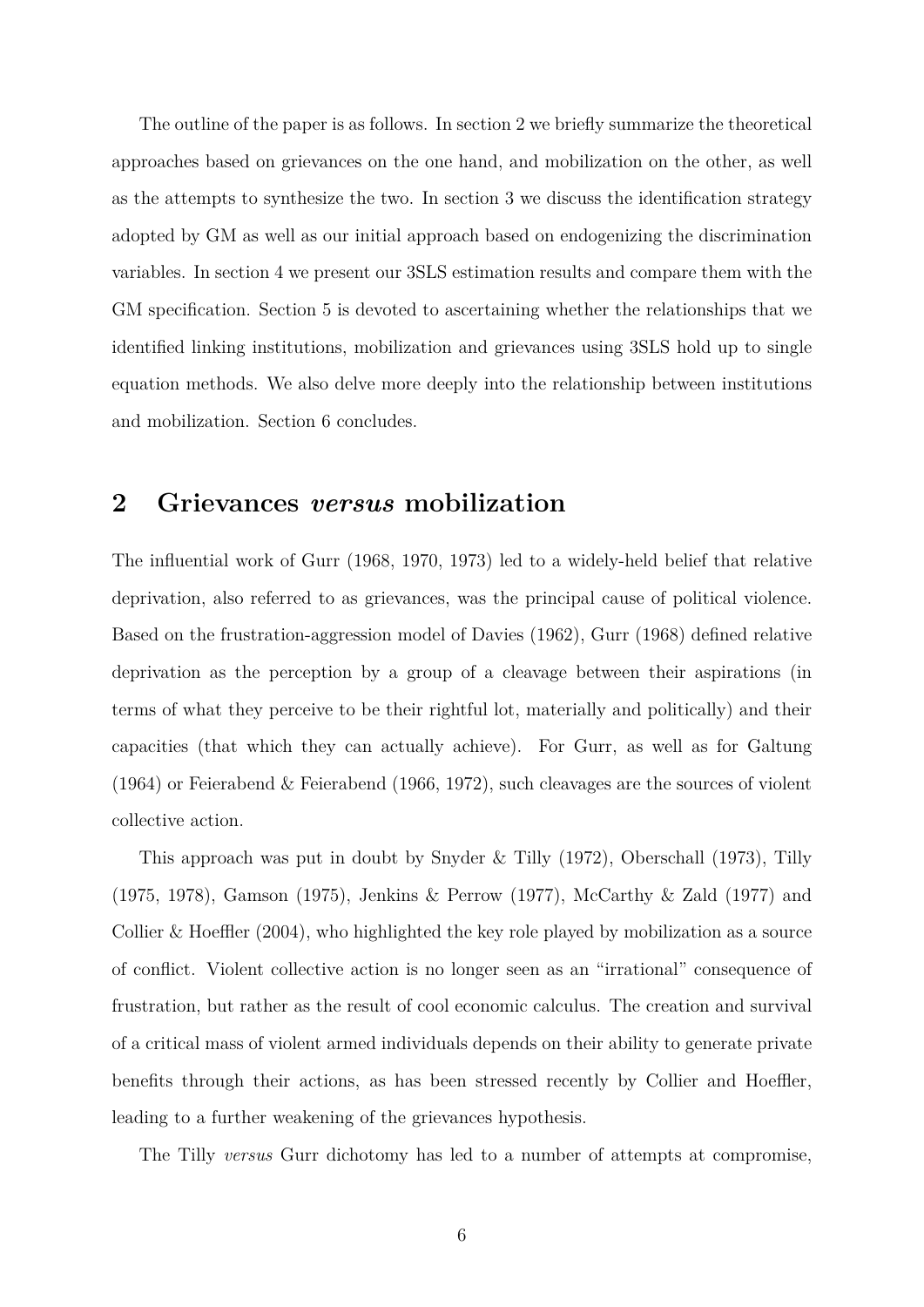The outline of the paper is as follows. In section 2 we briefly summarize the theoretical approaches based on grievances on the one hand, and mobilization on the other, as well as the attempts to synthesize the two. In section 3 we discuss the identification strategy adopted by GM as well as our initial approach based on endogenizing the discrimination variables. In section 4 we present our 3SLS estimation results and compare them with the GM specification. Section 5 is devoted to ascertaining whether the relationships that we identified linking institutions, mobilization and grievances using 3SLS hold up to single equation methods. We also delve more deeply into the relationship between institutions and mobilization. Section 6 concludes.

### **2 Grievances** *versus* **mobilization**

The influential work of Gurr (1968, 1970, 1973) led to a widely-held belief that relative deprivation, also referred to as grievances, was the principal cause of political violence. Based on the frustration-aggression model of Davies (1962), Gurr (1968) defined relative deprivation as the perception by a group of a cleavage between their aspirations (in terms of what they perceive to be their rightful lot, materially and politically) and their capacities (that which they can actually achieve). For Gurr, as well as for Galtung (1964) or Feierabend & Feierabend (1966, 1972), such cleavages are the sources of violent collective action.

This approach was put in doubt by Snyder & Tilly (1972), Oberschall (1973), Tilly (1975, 1978), Gamson (1975), Jenkins & Perrow (1977), McCarthy & Zald (1977) and Collier  $\&$  Hoeffler (2004), who highlighted the key role played by mobilization as a source of conflict. Violent collective action is no longer seen as an "irrational" consequence of frustration, but rather as the result of cool economic calculus. The creation and survival of a critical mass of violent armed individuals depends on their ability to generate private benefits through their actions, as has been stressed recently by Collier and Hoeffler, leading to a further weakening of the grievances hypothesis.

The Tilly *versus* Gurr dichotomy has led to a number of attempts at compromise,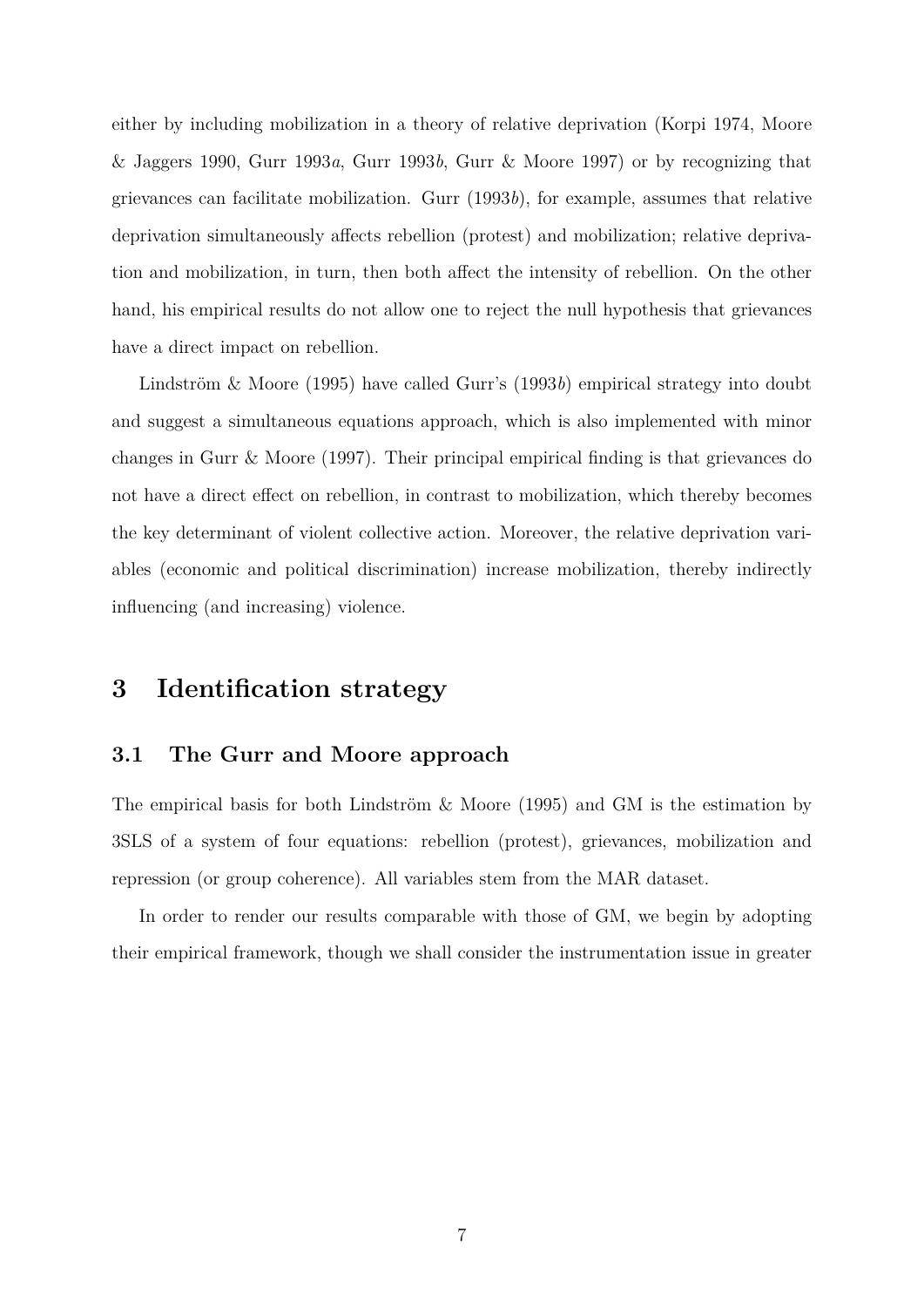either by including mobilization in a theory of relative deprivation (Korpi 1974, Moore & Jaggers 1990, Gurr 1993*a*, Gurr 1993*b*, Gurr & Moore 1997) or by recognizing that grievances can facilitate mobilization. Gurr (1993*b*), for example, assumes that relative deprivation simultaneously affects rebellion (protest) and mobilization; relative deprivation and mobilization, in turn, then both affect the intensity of rebellion. On the other hand, his empirical results do not allow one to reject the null hypothesis that grievances have a direct impact on rebellion.

Lindström & Moore (1995) have called Gurr's (1993*b*) empirical strategy into doubt and suggest a simultaneous equations approach, which is also implemented with minor changes in Gurr & Moore (1997). Their principal empirical finding is that grievances do not have a direct effect on rebellion, in contrast to mobilization, which thereby becomes the key determinant of violent collective action. Moreover, the relative deprivation variables (economic and political discrimination) increase mobilization, thereby indirectly influencing (and increasing) violence.

# **3 Identification strategy**

### **3.1 The Gurr and Moore approach**

The empirical basis for both Lindström & Moore (1995) and GM is the estimation by 3SLS of a system of four equations: rebellion (protest), grievances, mobilization and repression (or group coherence). All variables stem from the MAR dataset.

In order to render our results comparable with those of GM, we begin by adopting their empirical framework, though we shall consider the instrumentation issue in greater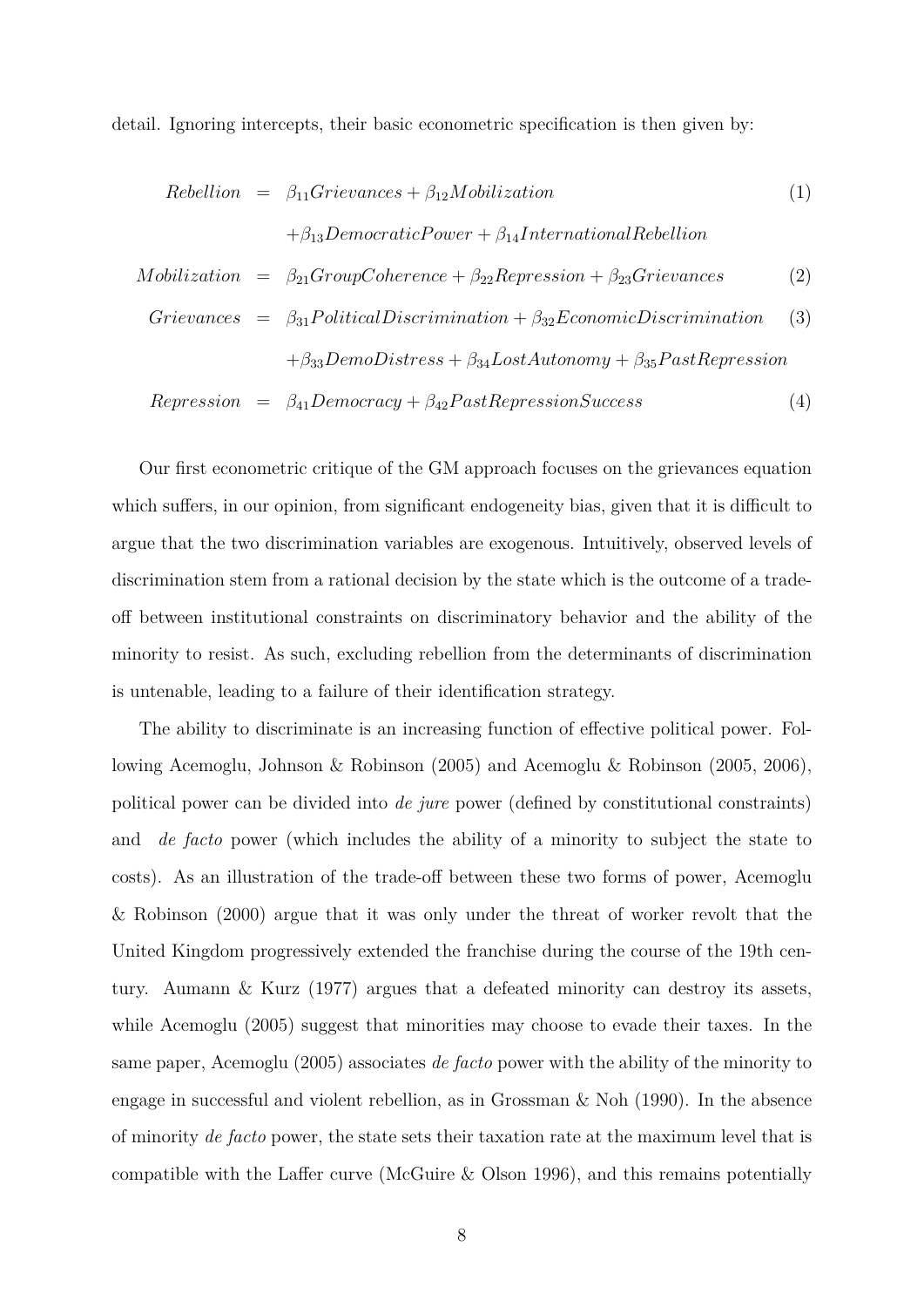detail. Ignoring intercepts, their basic econometric specification is then given by:

Rebellion = 
$$
\beta_{11}Grievances + \beta_{12}Mobilization
$$
 (1)  
\n
$$
+\beta_{13}DemocraticPower + \beta_{14}International Rebellion
$$

\nMobilization = 
$$
\beta_{21}GroupCoherence + \beta_{22}Representation + \beta_{23}Grievances
$$
 (2)  
\n
$$
Grievances = \beta_{31} Political Discrimination + \beta_{32}EconomicDiscrimination
$$
 (3)  
\n
$$
+\beta_{33}DemoDistress + \beta_{34} LostAutomomy + \beta_{35} PastRepresentor
$$

\nRepresention = 
$$
\beta_{41}Democracy + \beta_{42} PastRepresentor
$$
 (4)

Our first econometric critique of the GM approach focuses on the grievances equation which suffers, in our opinion, from significant endogeneity bias, given that it is difficult to argue that the two discrimination variables are exogenous. Intuitively, observed levels of discrimination stem from a rational decision by the state which is the outcome of a tradeoff between institutional constraints on discriminatory behavior and the ability of the minority to resist. As such, excluding rebellion from the determinants of discrimination is untenable, leading to a failure of their identification strategy.

The ability to discriminate is an increasing function of effective political power. Following Acemoglu, Johnson & Robinson (2005) and Acemoglu & Robinson (2005, 2006), political power can be divided into *de jure* power (defined by constitutional constraints) and *de facto* power (which includes the ability of a minority to subject the state to costs). As an illustration of the trade-off between these two forms of power, Acemoglu & Robinson (2000) argue that it was only under the threat of worker revolt that the United Kingdom progressively extended the franchise during the course of the 19th century. Aumann & Kurz (1977) argues that a defeated minority can destroy its assets, while Acemoglu (2005) suggest that minorities may choose to evade their taxes. In the same paper, Acemoglu (2005) associates *de facto* power with the ability of the minority to engage in successful and violent rebellion, as in Grossman  $\&$  Noh (1990). In the absence of minority *de facto* power, the state sets their taxation rate at the maximum level that is compatible with the Laffer curve (McGuire & Olson 1996), and this remains potentially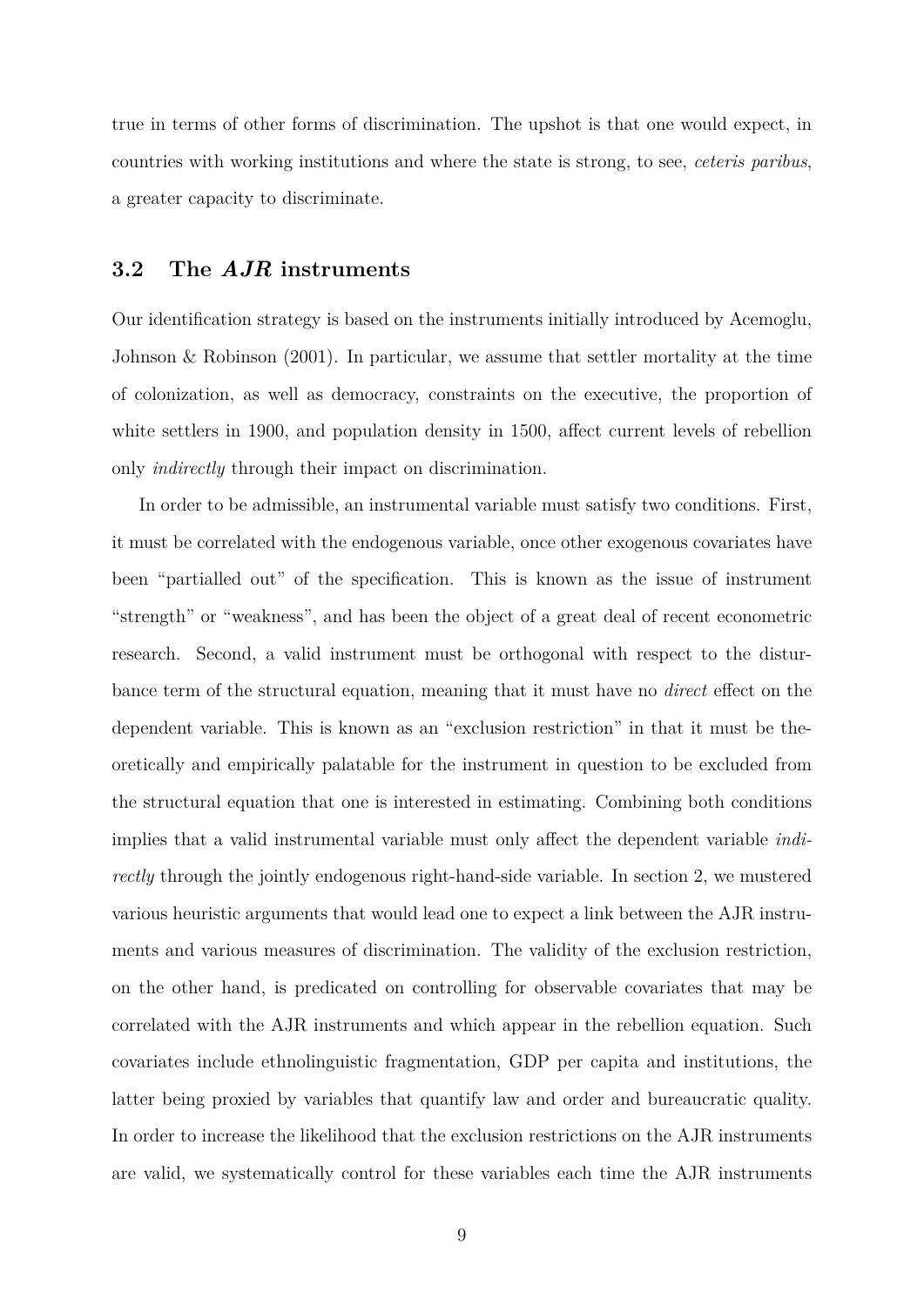true in terms of other forms of discrimination. The upshot is that one would expect, in countries with working institutions and where the state is strong, to see, *ceteris paribus*, a greater capacity to discriminate.

### **3.2 The** *AJR* **instruments**

Our identification strategy is based on the instruments initially introduced by Acemoglu, Johnson & Robinson (2001). In particular, we assume that settler mortality at the time of colonization, as well as democracy, constraints on the executive, the proportion of white settlers in 1900, and population density in 1500, affect current levels of rebellion only *indirectly* through their impact on discrimination.

In order to be admissible, an instrumental variable must satisfy two conditions. First, it must be correlated with the endogenous variable, once other exogenous covariates have been "partialled out" of the specification. This is known as the issue of instrument "strength" or "weakness", and has been the object of a great deal of recent econometric research. Second, a valid instrument must be orthogonal with respect to the disturbance term of the structural equation, meaning that it must have no *direct* effect on the dependent variable. This is known as an "exclusion restriction" in that it must be theoretically and empirically palatable for the instrument in question to be excluded from the structural equation that one is interested in estimating. Combining both conditions implies that a valid instrumental variable must only affect the dependent variable *indirectly* through the jointly endogenous right-hand-side variable. In section 2, we mustered various heuristic arguments that would lead one to expect a link between the AJR instruments and various measures of discrimination. The validity of the exclusion restriction, on the other hand, is predicated on controlling for observable covariates that may be correlated with the AJR instruments and which appear in the rebellion equation. Such covariates include ethnolinguistic fragmentation, GDP per capita and institutions, the latter being proxied by variables that quantify law and order and bureaucratic quality. In order to increase the likelihood that the exclusion restrictions on the AJR instruments are valid, we systematically control for these variables each time the AJR instruments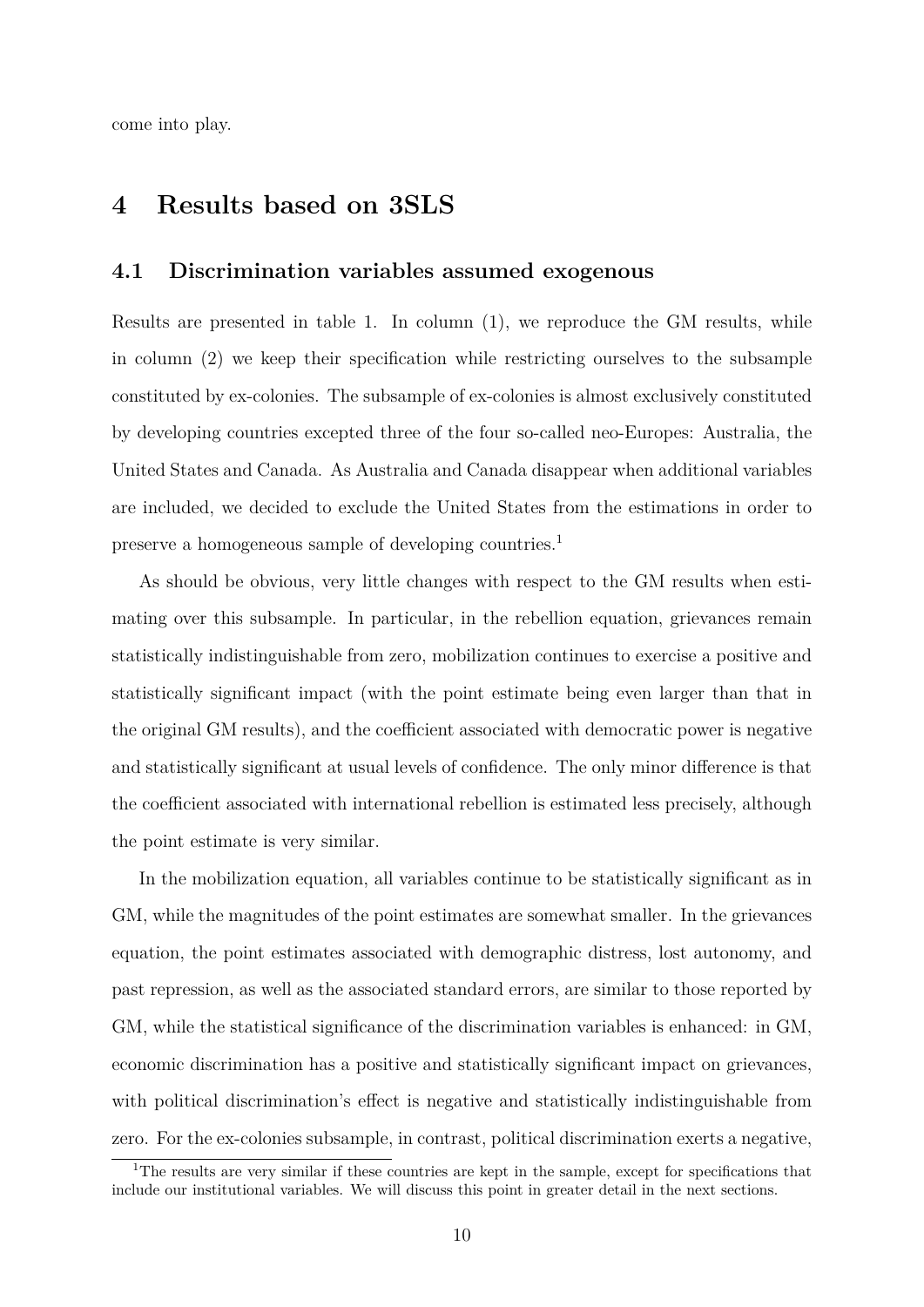come into play.

### **4 Results based on 3SLS**

#### **4.1 Discrimination variables assumed exogenous**

Results are presented in table 1. In column (1), we reproduce the GM results, while in column (2) we keep their specification while restricting ourselves to the subsample constituted by ex-colonies. The subsample of ex-colonies is almost exclusively constituted by developing countries excepted three of the four so-called neo-Europes: Australia, the United States and Canada. As Australia and Canada disappear when additional variables are included, we decided to exclude the United States from the estimations in order to preserve a homogeneous sample of developing countries.<sup>1</sup>

As should be obvious, very little changes with respect to the GM results when estimating over this subsample. In particular, in the rebellion equation, grievances remain statistically indistinguishable from zero, mobilization continues to exercise a positive and statistically significant impact (with the point estimate being even larger than that in the original GM results), and the coefficient associated with democratic power is negative and statistically significant at usual levels of confidence. The only minor difference is that the coefficient associated with international rebellion is estimated less precisely, although the point estimate is very similar.

In the mobilization equation, all variables continue to be statistically significant as in GM, while the magnitudes of the point estimates are somewhat smaller. In the grievances equation, the point estimates associated with demographic distress, lost autonomy, and past repression, as well as the associated standard errors, are similar to those reported by GM, while the statistical significance of the discrimination variables is enhanced: in GM, economic discrimination has a positive and statistically significant impact on grievances, with political discrimination's effect is negative and statistically indistinguishable from zero. For the ex-colonies subsample, in contrast, political discrimination exerts a negative,

<sup>&</sup>lt;sup>1</sup>The results are very similar if these countries are kept in the sample, except for specifications that include our institutional variables. We will discuss this point in greater detail in the next sections.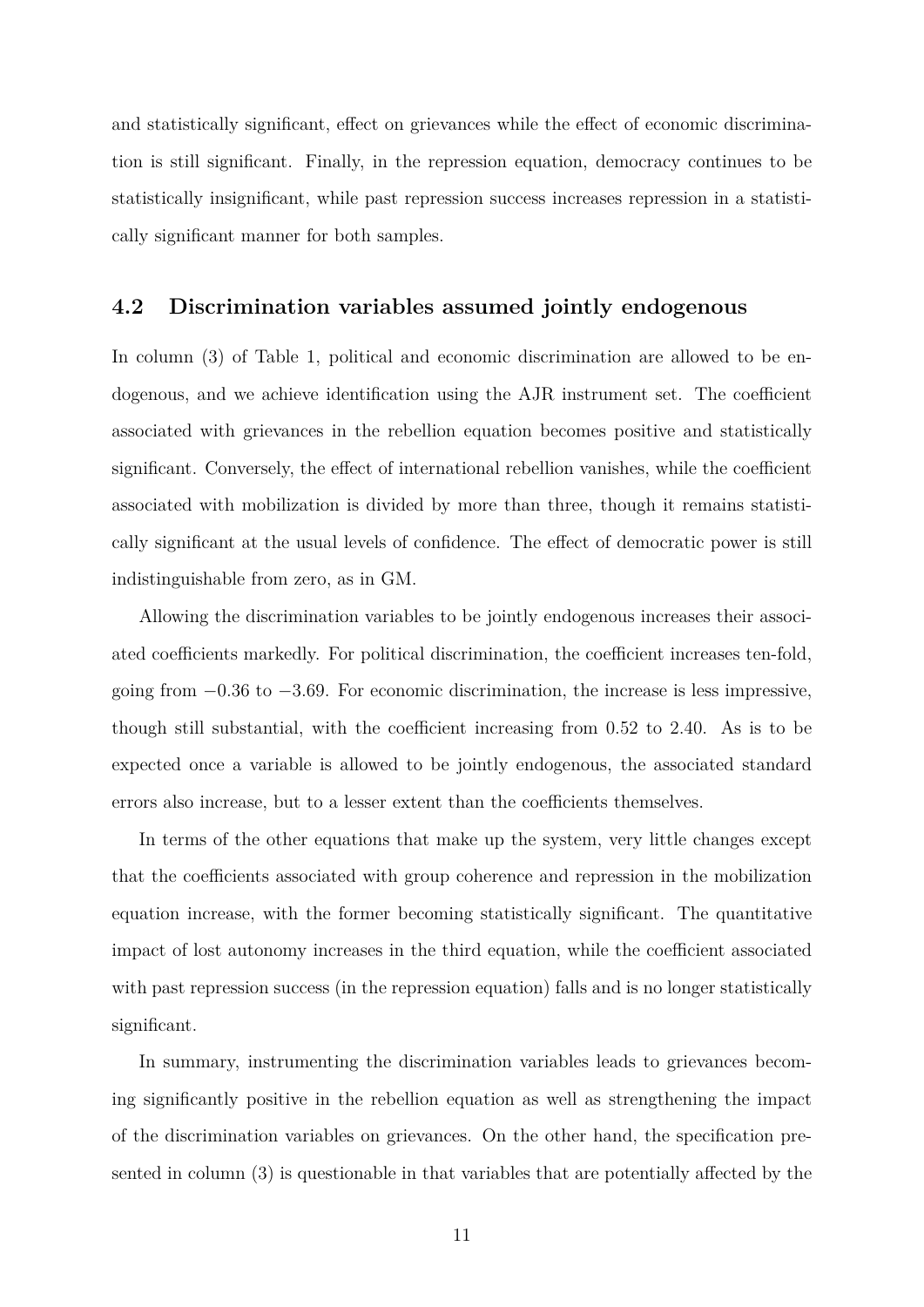and statistically significant, effect on grievances while the effect of economic discrimination is still significant. Finally, in the repression equation, democracy continues to be statistically insignificant, while past repression success increases repression in a statistically significant manner for both samples.

### **4.2 Discrimination variables assumed jointly endogenous**

In column (3) of Table 1, political and economic discrimination are allowed to be endogenous, and we achieve identification using the AJR instrument set. The coefficient associated with grievances in the rebellion equation becomes positive and statistically significant. Conversely, the effect of international rebellion vanishes, while the coefficient associated with mobilization is divided by more than three, though it remains statistically significant at the usual levels of confidence. The effect of democratic power is still indistinguishable from zero, as in GM.

Allowing the discrimination variables to be jointly endogenous increases their associated coefficients markedly. For political discrimination, the coefficient increases ten-fold, going from −0*.*36 to −3*.*69. For economic discrimination, the increase is less impressive, though still substantial, with the coefficient increasing from 0*.*52 to 2*.*40. As is to be expected once a variable is allowed to be jointly endogenous, the associated standard errors also increase, but to a lesser extent than the coefficients themselves.

In terms of the other equations that make up the system, very little changes except that the coefficients associated with group coherence and repression in the mobilization equation increase, with the former becoming statistically significant. The quantitative impact of lost autonomy increases in the third equation, while the coefficient associated with past repression success (in the repression equation) falls and is no longer statistically significant.

In summary, instrumenting the discrimination variables leads to grievances becoming significantly positive in the rebellion equation as well as strengthening the impact of the discrimination variables on grievances. On the other hand, the specification presented in column (3) is questionable in that variables that are potentially affected by the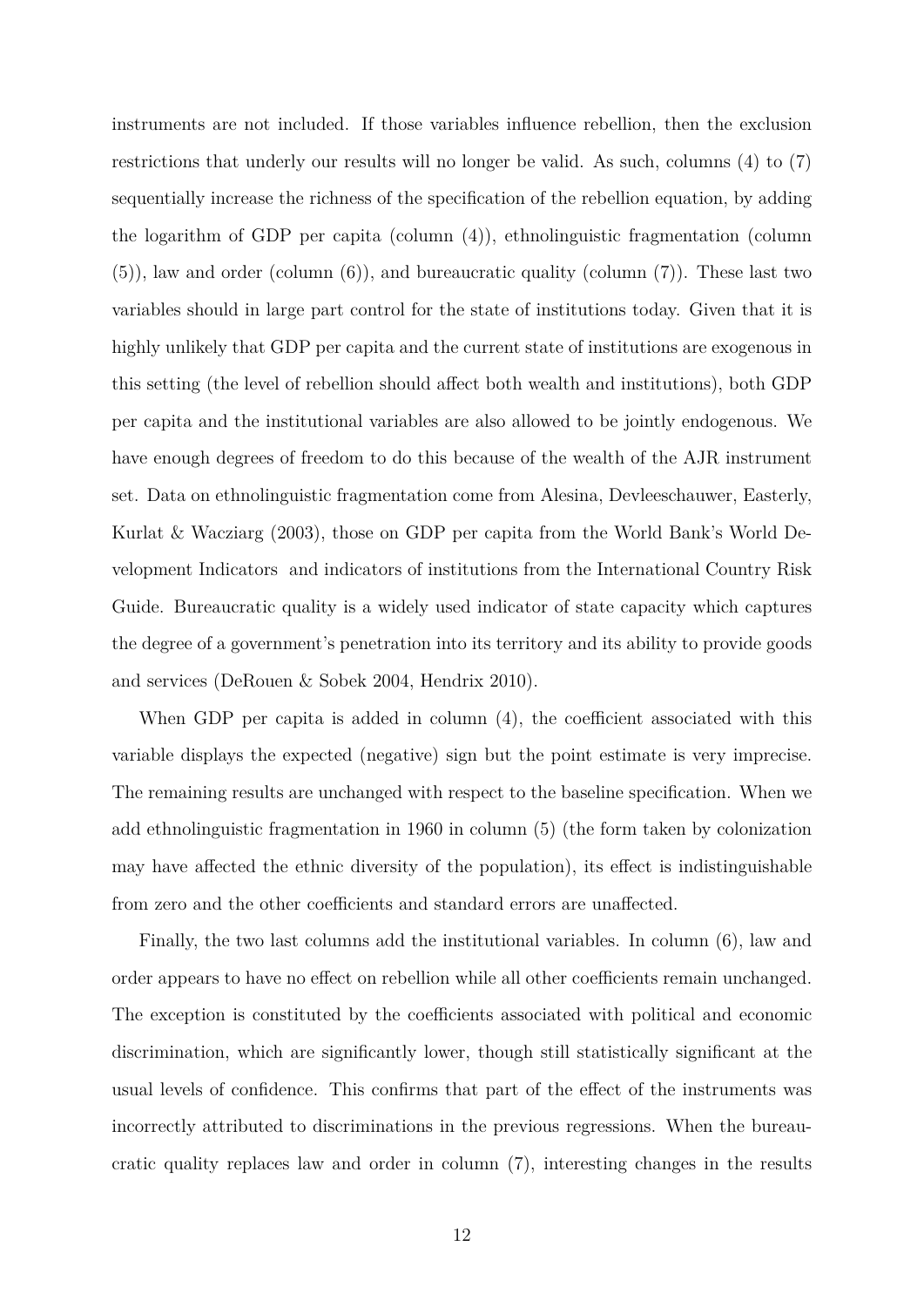instruments are not included. If those variables influence rebellion, then the exclusion restrictions that underly our results will no longer be valid. As such, columns (4) to (7) sequentially increase the richness of the specification of the rebellion equation, by adding the logarithm of GDP per capita (column (4)), ethnolinguistic fragmentation (column (5)), law and order (column (6)), and bureaucratic quality (column (7)). These last two variables should in large part control for the state of institutions today. Given that it is highly unlikely that GDP per capita and the current state of institutions are exogenous in this setting (the level of rebellion should affect both wealth and institutions), both GDP per capita and the institutional variables are also allowed to be jointly endogenous. We have enough degrees of freedom to do this because of the wealth of the AJR instrument set. Data on ethnolinguistic fragmentation come from Alesina, Devleeschauwer, Easterly, Kurlat & Wacziarg (2003), those on GDP per capita from the World Bank's World Development Indicators and indicators of institutions from the International Country Risk Guide. Bureaucratic quality is a widely used indicator of state capacity which captures the degree of a government's penetration into its territory and its ability to provide goods and services (DeRouen & Sobek 2004, Hendrix 2010).

When GDP per capita is added in column  $(4)$ , the coefficient associated with this variable displays the expected (negative) sign but the point estimate is very imprecise. The remaining results are unchanged with respect to the baseline specification. When we add ethnolinguistic fragmentation in 1960 in column (5) (the form taken by colonization may have affected the ethnic diversity of the population), its effect is indistinguishable from zero and the other coefficients and standard errors are unaffected.

Finally, the two last columns add the institutional variables. In column (6), law and order appears to have no effect on rebellion while all other coefficients remain unchanged. The exception is constituted by the coefficients associated with political and economic discrimination, which are significantly lower, though still statistically significant at the usual levels of confidence. This confirms that part of the effect of the instruments was incorrectly attributed to discriminations in the previous regressions. When the bureaucratic quality replaces law and order in column (7), interesting changes in the results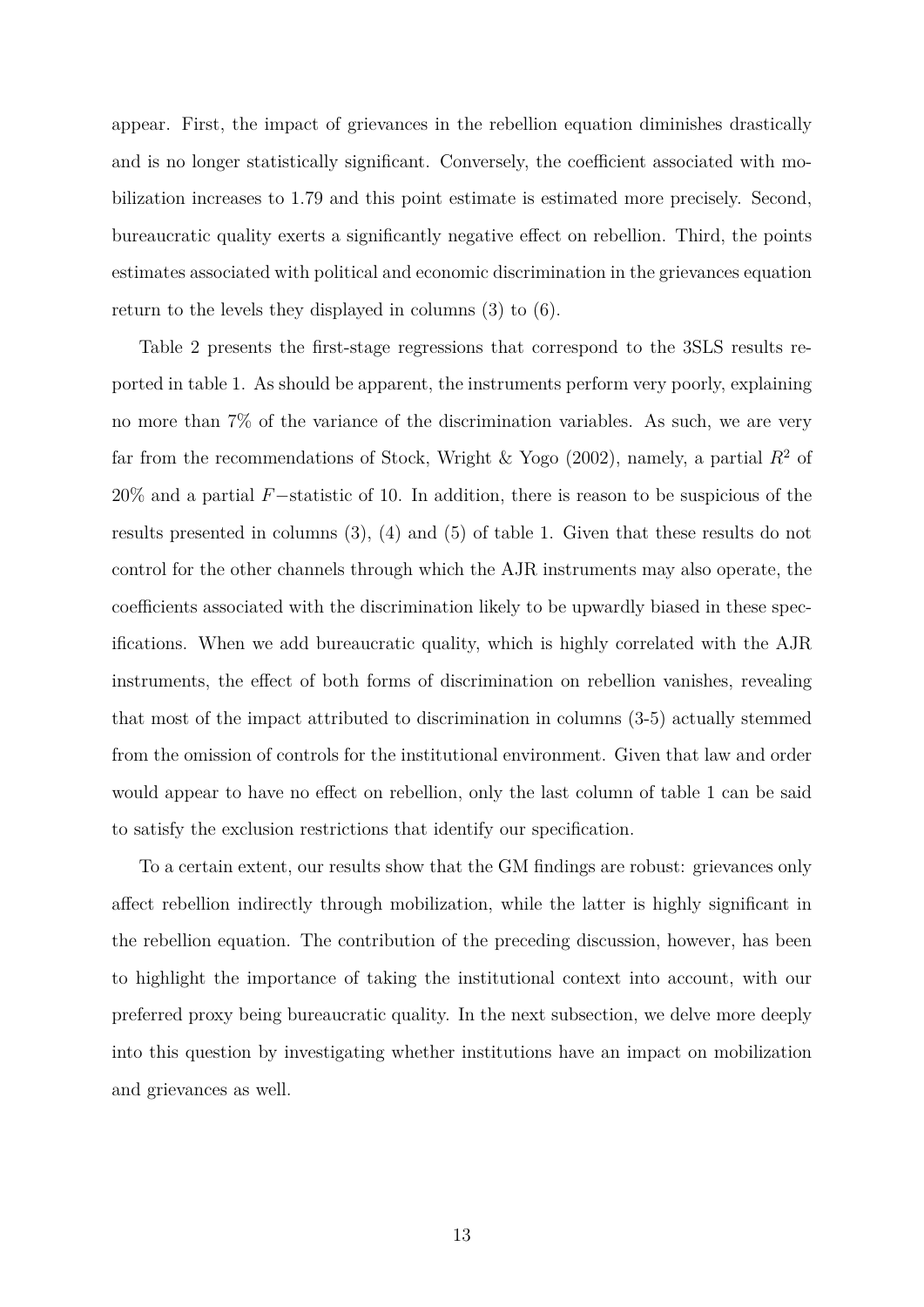appear. First, the impact of grievances in the rebellion equation diminishes drastically and is no longer statistically significant. Conversely, the coefficient associated with mobilization increases to 1*.*79 and this point estimate is estimated more precisely. Second, bureaucratic quality exerts a significantly negative effect on rebellion. Third, the points estimates associated with political and economic discrimination in the grievances equation return to the levels they displayed in columns (3) to (6).

Table 2 presents the first-stage regressions that correspond to the 3SLS results reported in table 1. As should be apparent, the instruments perform very poorly, explaining no more than 7% of the variance of the discrimination variables. As such, we are very far from the recommendations of Stock, Wright & Yogo (2002), namely, a partial  $R^2$  of 20% and a partial *F*−statistic of 10. In addition, there is reason to be suspicious of the results presented in columns (3), (4) and (5) of table 1. Given that these results do not control for the other channels through which the AJR instruments may also operate, the coefficients associated with the discrimination likely to be upwardly biased in these specifications. When we add bureaucratic quality, which is highly correlated with the AJR instruments, the effect of both forms of discrimination on rebellion vanishes, revealing that most of the impact attributed to discrimination in columns (3-5) actually stemmed from the omission of controls for the institutional environment. Given that law and order would appear to have no effect on rebellion, only the last column of table 1 can be said to satisfy the exclusion restrictions that identify our specification.

To a certain extent, our results show that the GM findings are robust: grievances only affect rebellion indirectly through mobilization, while the latter is highly significant in the rebellion equation. The contribution of the preceding discussion, however, has been to highlight the importance of taking the institutional context into account, with our preferred proxy being bureaucratic quality. In the next subsection, we delve more deeply into this question by investigating whether institutions have an impact on mobilization and grievances as well.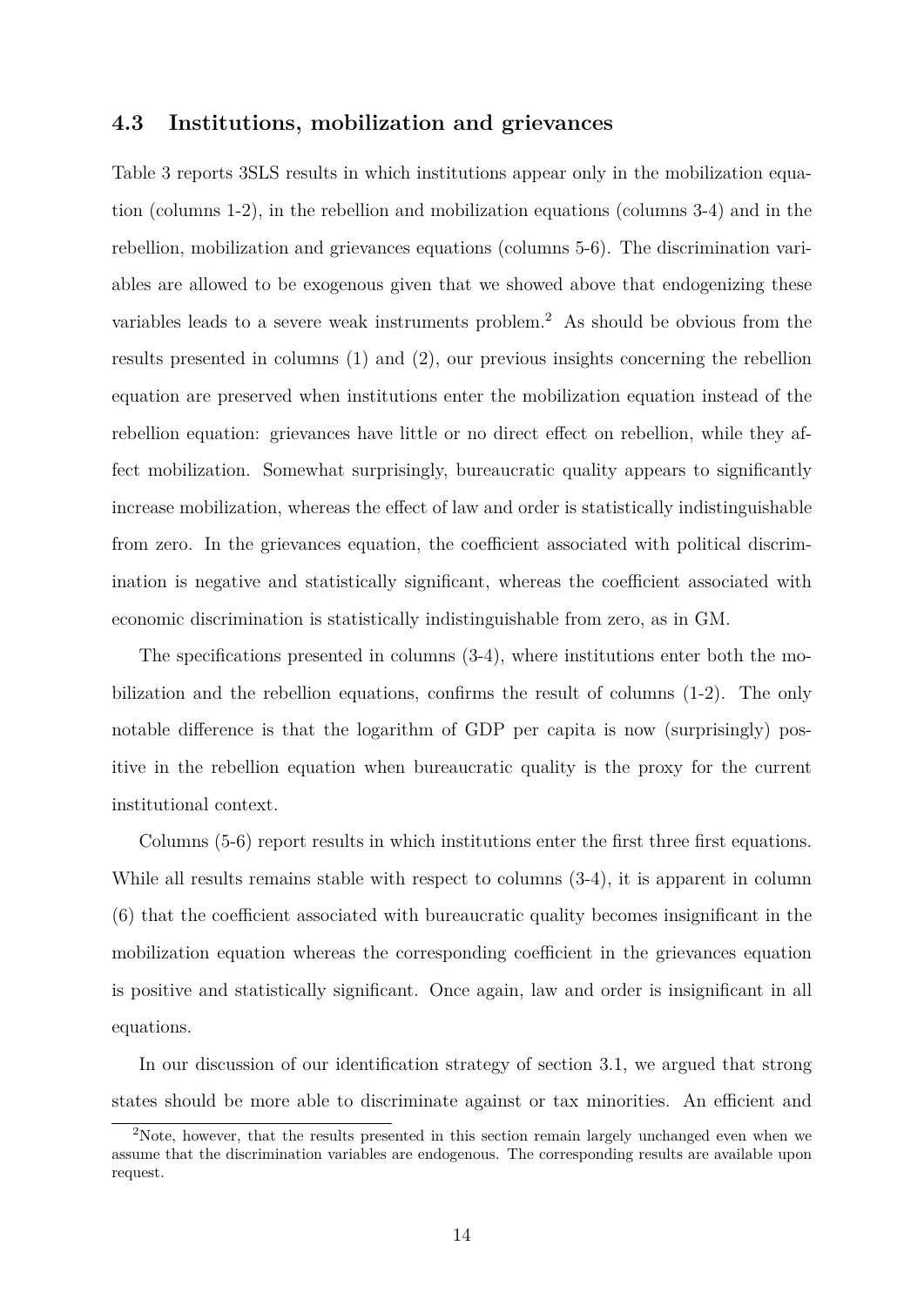#### **4.3 Institutions, mobilization and grievances**

Table 3 reports 3SLS results in which institutions appear only in the mobilization equation (columns 1-2), in the rebellion and mobilization equations (columns 3-4) and in the rebellion, mobilization and grievances equations (columns 5-6). The discrimination variables are allowed to be exogenous given that we showed above that endogenizing these variables leads to a severe weak instruments problem.<sup>2</sup> As should be obvious from the results presented in columns (1) and (2), our previous insights concerning the rebellion equation are preserved when institutions enter the mobilization equation instead of the rebellion equation: grievances have little or no direct effect on rebellion, while they affect mobilization. Somewhat surprisingly, bureaucratic quality appears to significantly increase mobilization, whereas the effect of law and order is statistically indistinguishable from zero. In the grievances equation, the coefficient associated with political discrimination is negative and statistically significant, whereas the coefficient associated with economic discrimination is statistically indistinguishable from zero, as in GM.

The specifications presented in columns (3-4), where institutions enter both the mobilization and the rebellion equations, confirms the result of columns (1-2). The only notable difference is that the logarithm of GDP per capita is now (surprisingly) positive in the rebellion equation when bureaucratic quality is the proxy for the current institutional context.

Columns (5-6) report results in which institutions enter the first three first equations. While all results remains stable with respect to columns (3-4), it is apparent in column (6) that the coefficient associated with bureaucratic quality becomes insignificant in the mobilization equation whereas the corresponding coefficient in the grievances equation is positive and statistically significant. Once again, law and order is insignificant in all equations.

In our discussion of our identification strategy of section 3.1, we argued that strong states should be more able to discriminate against or tax minorities. An efficient and

<sup>&</sup>lt;sup>2</sup>Note, however, that the results presented in this section remain largely unchanged even when we assume that the discrimination variables are endogenous. The corresponding results are available upon request.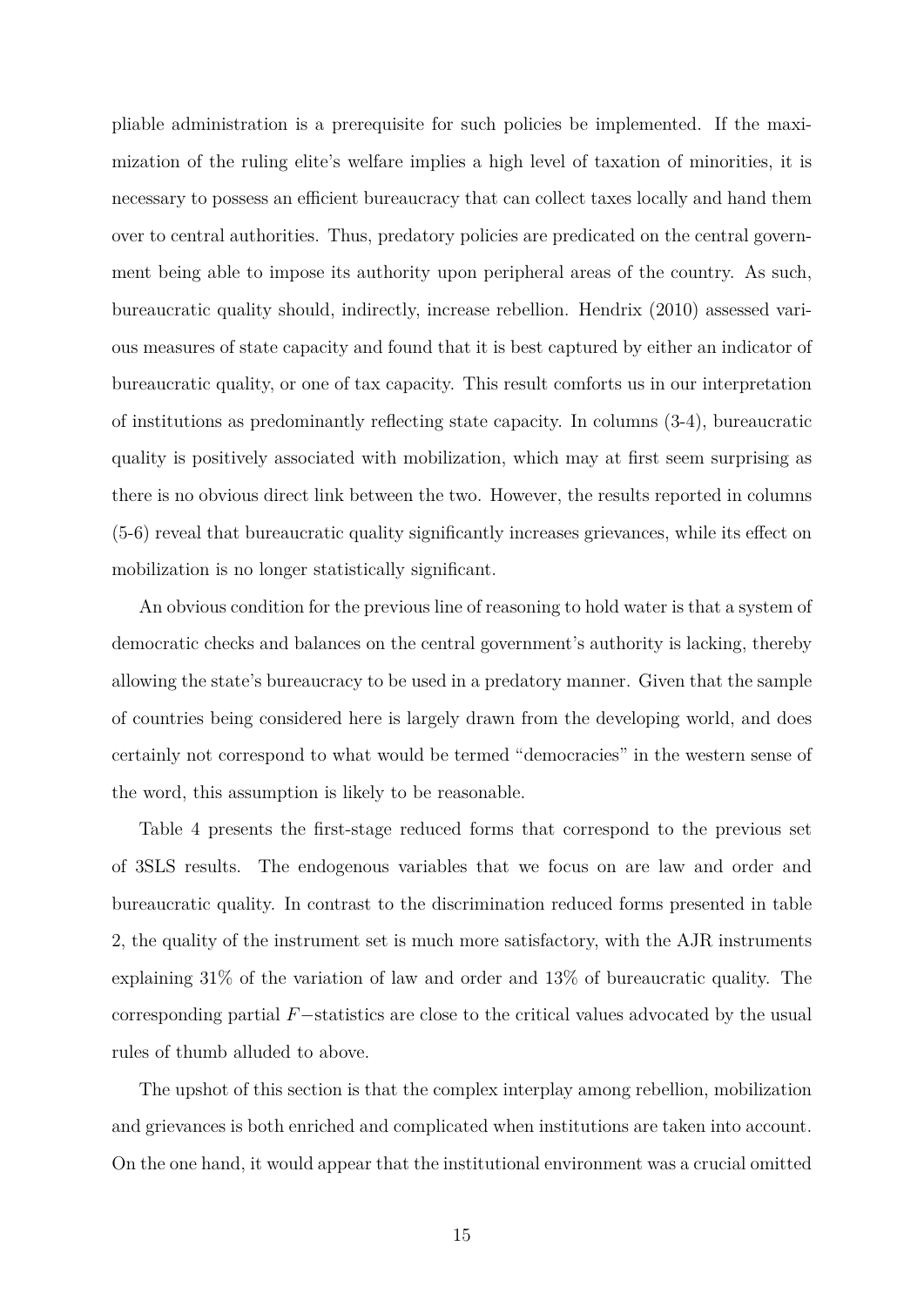pliable administration is a prerequisite for such policies be implemented. If the maximization of the ruling elite's welfare implies a high level of taxation of minorities, it is necessary to possess an efficient bureaucracy that can collect taxes locally and hand them over to central authorities. Thus, predatory policies are predicated on the central government being able to impose its authority upon peripheral areas of the country. As such, bureaucratic quality should, indirectly, increase rebellion. Hendrix (2010) assessed various measures of state capacity and found that it is best captured by either an indicator of bureaucratic quality, or one of tax capacity. This result comforts us in our interpretation of institutions as predominantly reflecting state capacity. In columns (3-4), bureaucratic quality is positively associated with mobilization, which may at first seem surprising as there is no obvious direct link between the two. However, the results reported in columns (5-6) reveal that bureaucratic quality significantly increases grievances, while its effect on mobilization is no longer statistically significant.

An obvious condition for the previous line of reasoning to hold water is that a system of democratic checks and balances on the central government's authority is lacking, thereby allowing the state's bureaucracy to be used in a predatory manner. Given that the sample of countries being considered here is largely drawn from the developing world, and does certainly not correspond to what would be termed "democracies" in the western sense of the word, this assumption is likely to be reasonable.

Table 4 presents the first-stage reduced forms that correspond to the previous set of 3SLS results. The endogenous variables that we focus on are law and order and bureaucratic quality. In contrast to the discrimination reduced forms presented in table 2, the quality of the instrument set is much more satisfactory, with the AJR instruments explaining 31% of the variation of law and order and 13% of bureaucratic quality. The corresponding partial *F*−statistics are close to the critical values advocated by the usual rules of thumb alluded to above.

The upshot of this section is that the complex interplay among rebellion, mobilization and grievances is both enriched and complicated when institutions are taken into account. On the one hand, it would appear that the institutional environment was a crucial omitted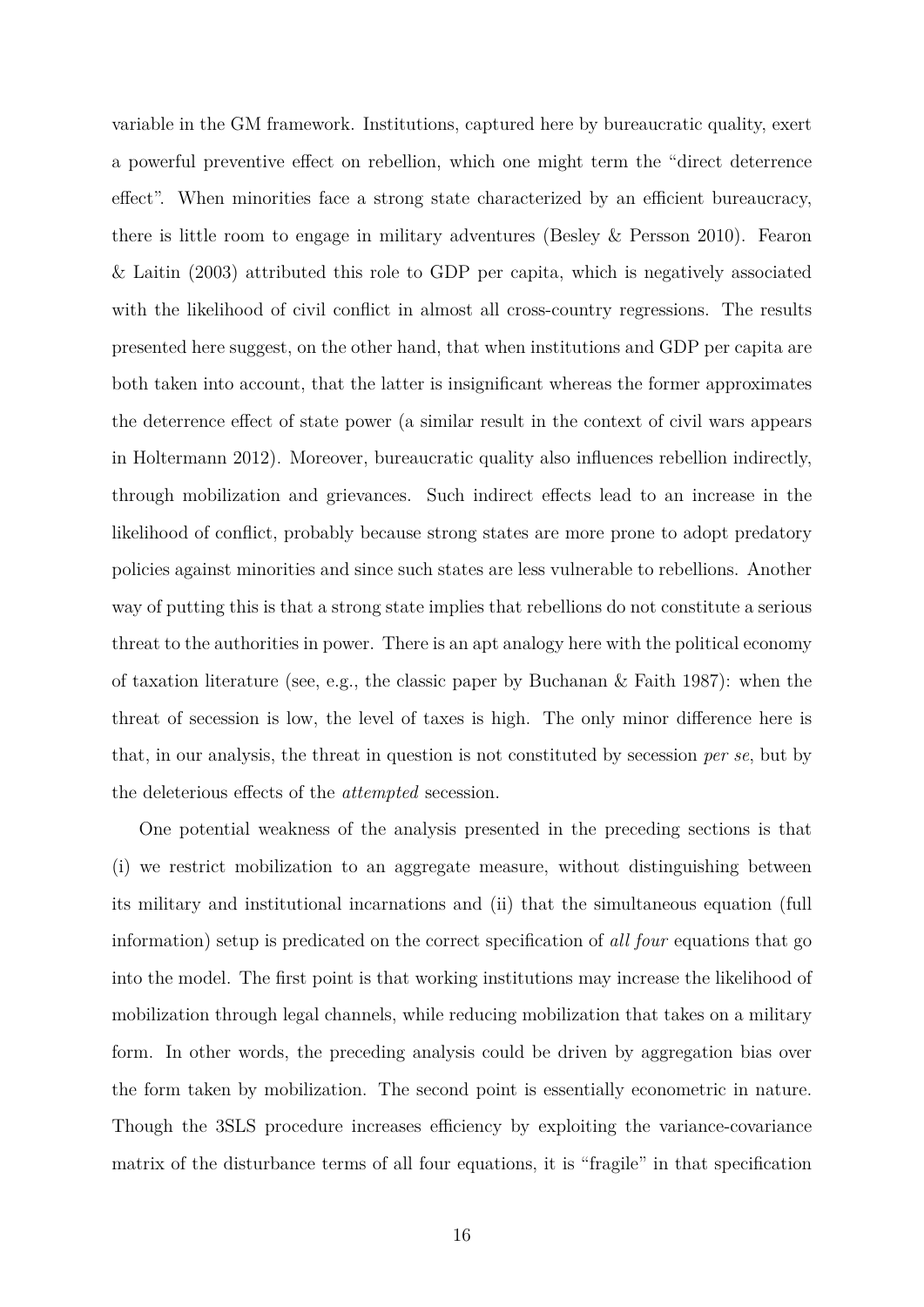variable in the GM framework. Institutions, captured here by bureaucratic quality, exert a powerful preventive effect on rebellion, which one might term the "direct deterrence effect". When minorities face a strong state characterized by an efficient bureaucracy, there is little room to engage in military adventures (Besley & Persson 2010). Fearon & Laitin (2003) attributed this role to GDP per capita, which is negatively associated with the likelihood of civil conflict in almost all cross-country regressions. The results presented here suggest, on the other hand, that when institutions and GDP per capita are both taken into account, that the latter is insignificant whereas the former approximates the deterrence effect of state power (a similar result in the context of civil wars appears in Holtermann 2012). Moreover, bureaucratic quality also influences rebellion indirectly, through mobilization and grievances. Such indirect effects lead to an increase in the likelihood of conflict, probably because strong states are more prone to adopt predatory policies against minorities and since such states are less vulnerable to rebellions. Another way of putting this is that a strong state implies that rebellions do not constitute a serious threat to the authorities in power. There is an apt analogy here with the political economy of taxation literature (see, e.g., the classic paper by Buchanan & Faith 1987): when the threat of secession is low, the level of taxes is high. The only minor difference here is that, in our analysis, the threat in question is not constituted by secession *per se*, but by the deleterious effects of the *attempted* secession.

One potential weakness of the analysis presented in the preceding sections is that (i) we restrict mobilization to an aggregate measure, without distinguishing between its military and institutional incarnations and (ii) that the simultaneous equation (full information) setup is predicated on the correct specification of *all four* equations that go into the model. The first point is that working institutions may increase the likelihood of mobilization through legal channels, while reducing mobilization that takes on a military form. In other words, the preceding analysis could be driven by aggregation bias over the form taken by mobilization. The second point is essentially econometric in nature. Though the 3SLS procedure increases efficiency by exploiting the variance-covariance matrix of the disturbance terms of all four equations, it is "fragile" in that specification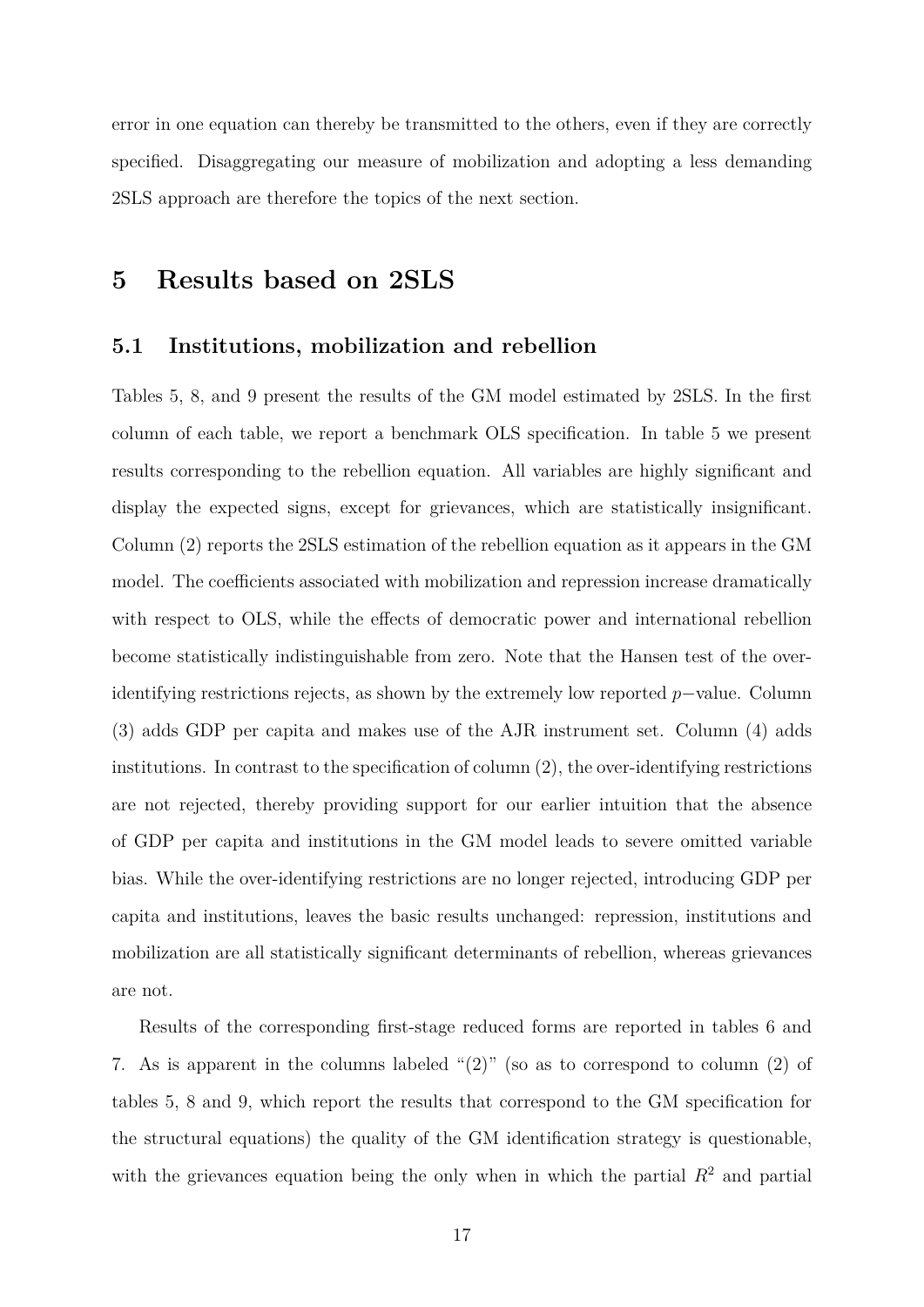error in one equation can thereby be transmitted to the others, even if they are correctly specified. Disaggregating our measure of mobilization and adopting a less demanding 2SLS approach are therefore the topics of the next section.

### **5 Results based on 2SLS**

#### **5.1 Institutions, mobilization and rebellion**

Tables 5, 8, and 9 present the results of the GM model estimated by 2SLS. In the first column of each table, we report a benchmark OLS specification. In table 5 we present results corresponding to the rebellion equation. All variables are highly significant and display the expected signs, except for grievances, which are statistically insignificant. Column (2) reports the 2SLS estimation of the rebellion equation as it appears in the GM model. The coefficients associated with mobilization and repression increase dramatically with respect to OLS, while the effects of democratic power and international rebellion become statistically indistinguishable from zero. Note that the Hansen test of the overidentifying restrictions rejects, as shown by the extremely low reported *p*−value. Column (3) adds GDP per capita and makes use of the AJR instrument set. Column (4) adds institutions. In contrast to the specification of column (2), the over-identifying restrictions are not rejected, thereby providing support for our earlier intuition that the absence of GDP per capita and institutions in the GM model leads to severe omitted variable bias. While the over-identifying restrictions are no longer rejected, introducing GDP per capita and institutions, leaves the basic results unchanged: repression, institutions and mobilization are all statistically significant determinants of rebellion, whereas grievances are not.

Results of the corresponding first-stage reduced forms are reported in tables 6 and 7. As is apparent in the columns labeled "(2)" (so as to correspond to column (2) of tables 5, 8 and 9, which report the results that correspond to the GM specification for the structural equations) the quality of the GM identification strategy is questionable, with the grievances equation being the only when in which the partial  $R^2$  and partial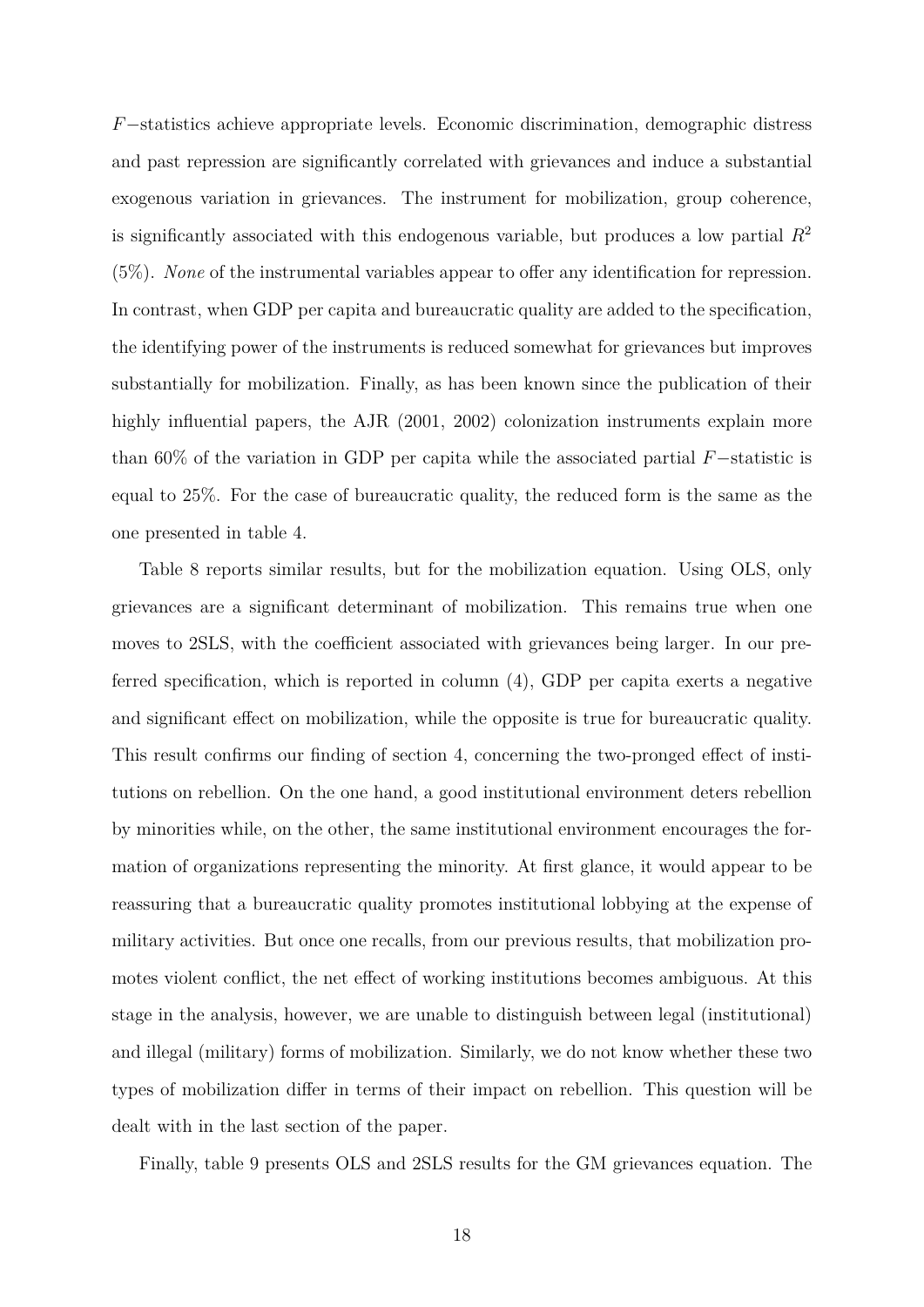*F*−statistics achieve appropriate levels. Economic discrimination, demographic distress and past repression are significantly correlated with grievances and induce a substantial exogenous variation in grievances. The instrument for mobilization, group coherence, is significantly associated with this endogenous variable, but produces a low partial *R*<sup>2</sup> (5%). *None* of the instrumental variables appear to offer any identification for repression. In contrast, when GDP per capita and bureaucratic quality are added to the specification, the identifying power of the instruments is reduced somewhat for grievances but improves substantially for mobilization. Finally, as has been known since the publication of their highly influential papers, the AJR (2001, 2002) colonization instruments explain more than 60% of the variation in GDP per capita while the associated partial *F*−statistic is equal to 25%. For the case of bureaucratic quality, the reduced form is the same as the one presented in table 4.

Table 8 reports similar results, but for the mobilization equation. Using OLS, only grievances are a significant determinant of mobilization. This remains true when one moves to 2SLS, with the coefficient associated with grievances being larger. In our preferred specification, which is reported in column (4), GDP per capita exerts a negative and significant effect on mobilization, while the opposite is true for bureaucratic quality. This result confirms our finding of section 4, concerning the two-pronged effect of institutions on rebellion. On the one hand, a good institutional environment deters rebellion by minorities while, on the other, the same institutional environment encourages the formation of organizations representing the minority. At first glance, it would appear to be reassuring that a bureaucratic quality promotes institutional lobbying at the expense of military activities. But once one recalls, from our previous results, that mobilization promotes violent conflict, the net effect of working institutions becomes ambiguous. At this stage in the analysis, however, we are unable to distinguish between legal (institutional) and illegal (military) forms of mobilization. Similarly, we do not know whether these two types of mobilization differ in terms of their impact on rebellion. This question will be dealt with in the last section of the paper.

Finally, table 9 presents OLS and 2SLS results for the GM grievances equation. The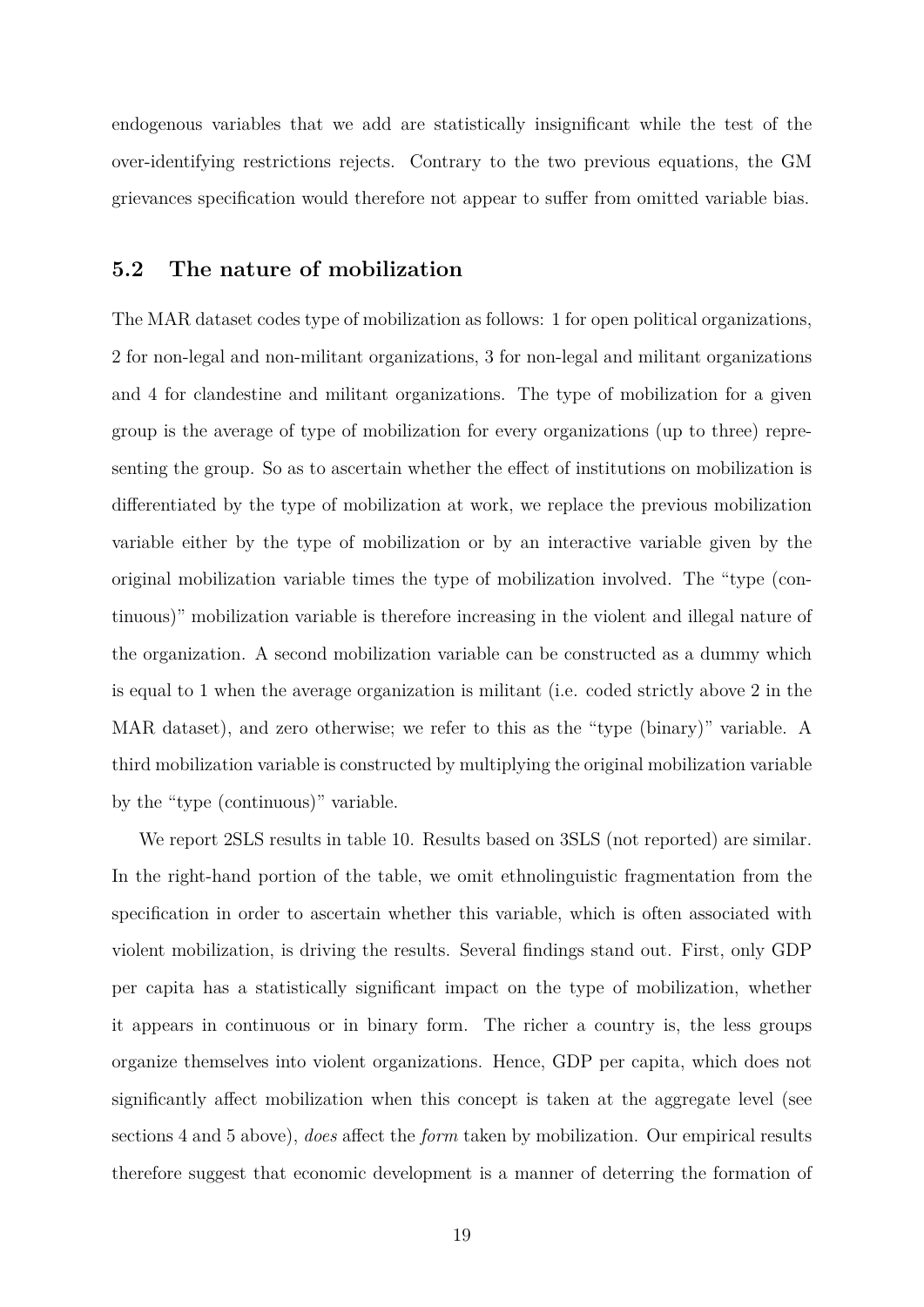endogenous variables that we add are statistically insignificant while the test of the over-identifying restrictions rejects. Contrary to the two previous equations, the GM grievances specification would therefore not appear to suffer from omitted variable bias.

### **5.2 The nature of mobilization**

The MAR dataset codes type of mobilization as follows: 1 for open political organizations, 2 for non-legal and non-militant organizations, 3 for non-legal and militant organizations and 4 for clandestine and militant organizations. The type of mobilization for a given group is the average of type of mobilization for every organizations (up to three) representing the group. So as to ascertain whether the effect of institutions on mobilization is differentiated by the type of mobilization at work, we replace the previous mobilization variable either by the type of mobilization or by an interactive variable given by the original mobilization variable times the type of mobilization involved. The "type (continuous)" mobilization variable is therefore increasing in the violent and illegal nature of the organization. A second mobilization variable can be constructed as a dummy which is equal to 1 when the average organization is militant (i.e. coded strictly above 2 in the MAR dataset), and zero otherwise; we refer to this as the "type (binary)" variable. A third mobilization variable is constructed by multiplying the original mobilization variable by the "type (continuous)" variable.

We report 2SLS results in table 10. Results based on 3SLS (not reported) are similar. In the right-hand portion of the table, we omit ethnolinguistic fragmentation from the specification in order to ascertain whether this variable, which is often associated with violent mobilization, is driving the results. Several findings stand out. First, only GDP per capita has a statistically significant impact on the type of mobilization, whether it appears in continuous or in binary form. The richer a country is, the less groups organize themselves into violent organizations. Hence, GDP per capita, which does not significantly affect mobilization when this concept is taken at the aggregate level (see sections 4 and 5 above), *does* affect the *form* taken by mobilization. Our empirical results therefore suggest that economic development is a manner of deterring the formation of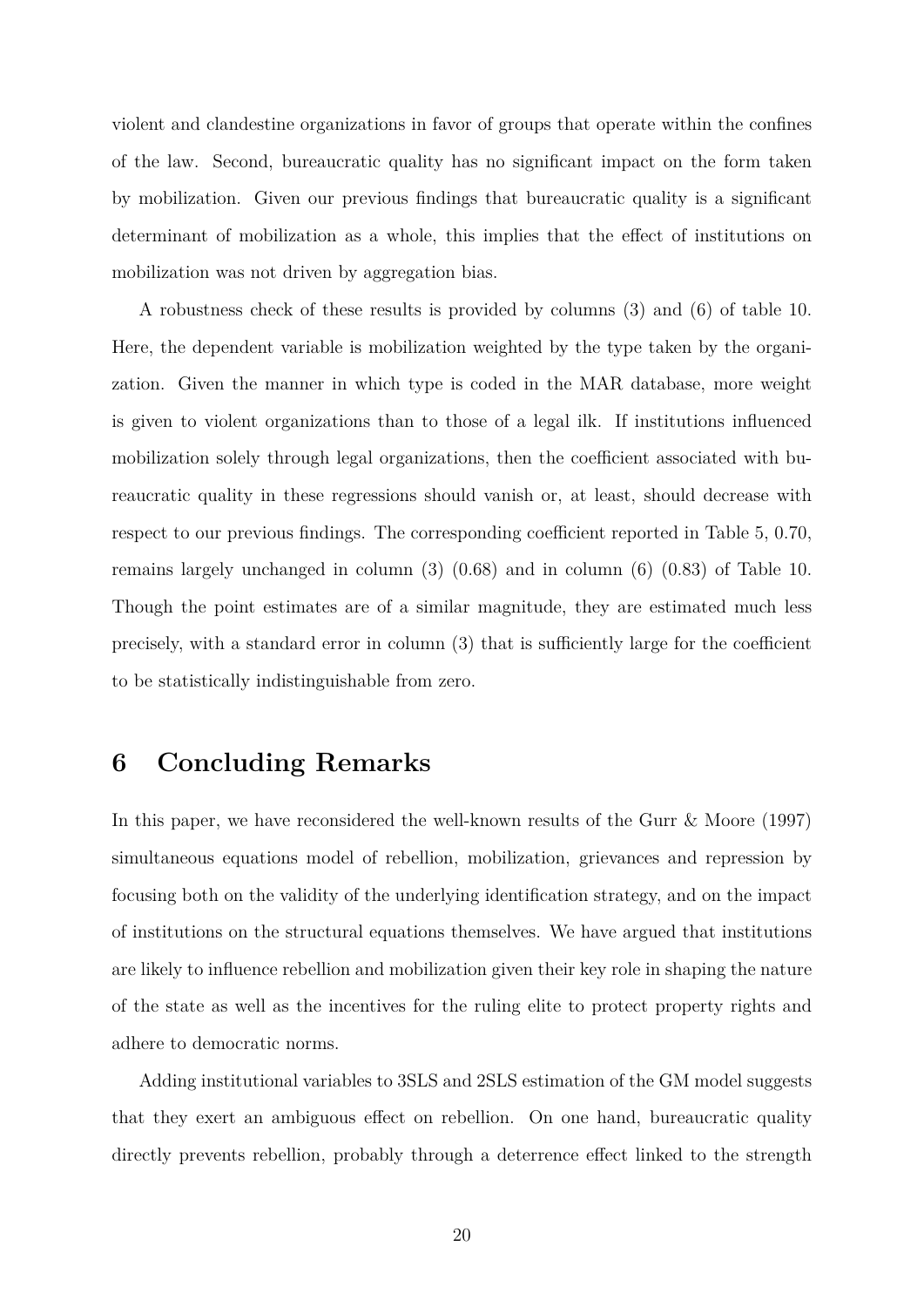violent and clandestine organizations in favor of groups that operate within the confines of the law. Second, bureaucratic quality has no significant impact on the form taken by mobilization. Given our previous findings that bureaucratic quality is a significant determinant of mobilization as a whole, this implies that the effect of institutions on mobilization was not driven by aggregation bias.

A robustness check of these results is provided by columns (3) and (6) of table 10. Here, the dependent variable is mobilization weighted by the type taken by the organization. Given the manner in which type is coded in the MAR database, more weight is given to violent organizations than to those of a legal ilk. If institutions influenced mobilization solely through legal organizations, then the coefficient associated with bureaucratic quality in these regressions should vanish or, at least, should decrease with respect to our previous findings. The corresponding coefficient reported in Table 5, 0*.*70, remains largely unchanged in column (3) (0*.*68) and in column (6) (0*.*83) of Table 10. Though the point estimates are of a similar magnitude, they are estimated much less precisely, with a standard error in column (3) that is sufficiently large for the coefficient to be statistically indistinguishable from zero.

# **6 Concluding Remarks**

In this paper, we have reconsidered the well-known results of the Gurr & Moore (1997) simultaneous equations model of rebellion, mobilization, grievances and repression by focusing both on the validity of the underlying identification strategy, and on the impact of institutions on the structural equations themselves. We have argued that institutions are likely to influence rebellion and mobilization given their key role in shaping the nature of the state as well as the incentives for the ruling elite to protect property rights and adhere to democratic norms.

Adding institutional variables to 3SLS and 2SLS estimation of the GM model suggests that they exert an ambiguous effect on rebellion. On one hand, bureaucratic quality directly prevents rebellion, probably through a deterrence effect linked to the strength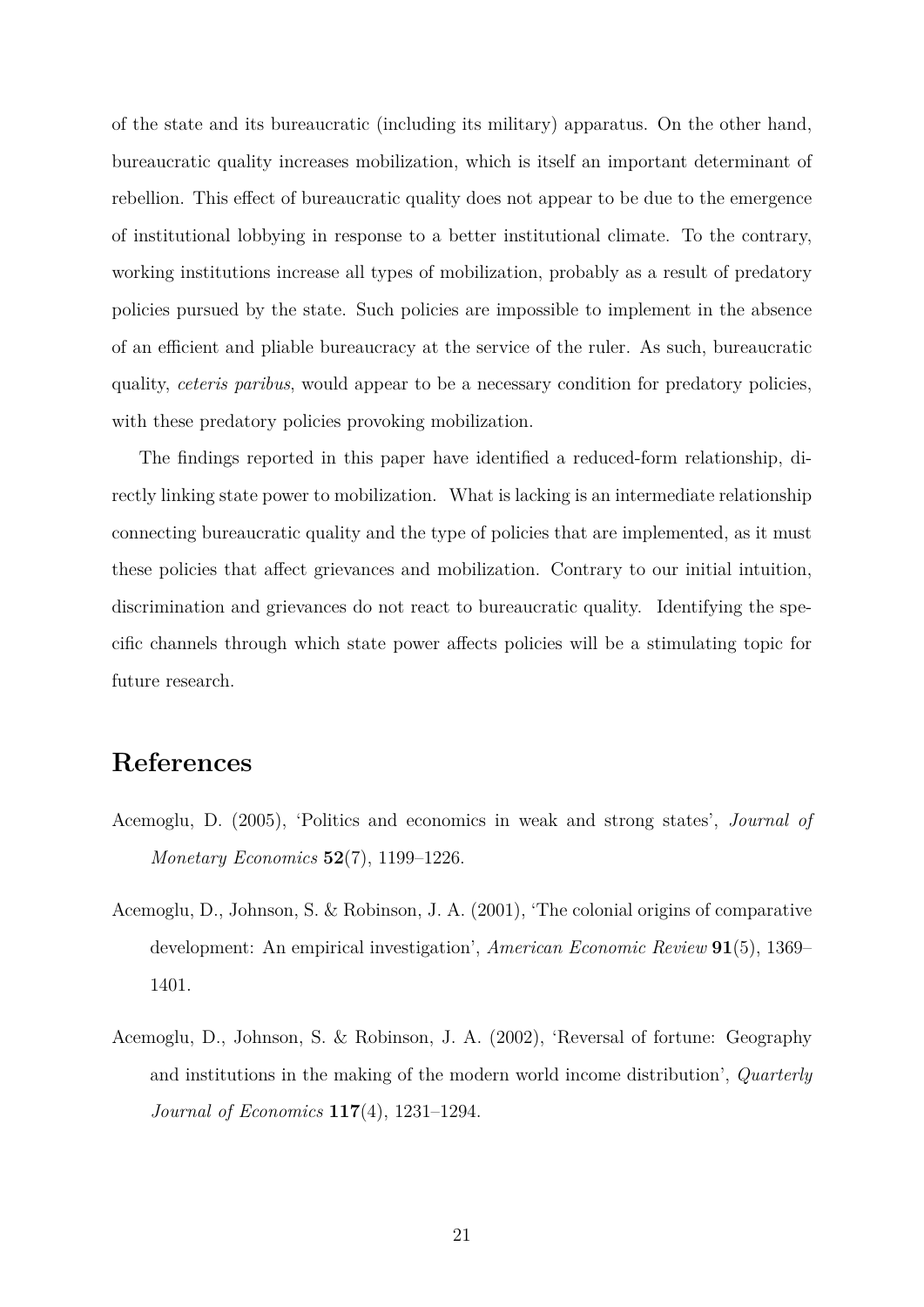of the state and its bureaucratic (including its military) apparatus. On the other hand, bureaucratic quality increases mobilization, which is itself an important determinant of rebellion. This effect of bureaucratic quality does not appear to be due to the emergence of institutional lobbying in response to a better institutional climate. To the contrary, working institutions increase all types of mobilization, probably as a result of predatory policies pursued by the state. Such policies are impossible to implement in the absence of an efficient and pliable bureaucracy at the service of the ruler. As such, bureaucratic quality, *ceteris paribus*, would appear to be a necessary condition for predatory policies, with these predatory policies provoking mobilization.

The findings reported in this paper have identified a reduced-form relationship, directly linking state power to mobilization. What is lacking is an intermediate relationship connecting bureaucratic quality and the type of policies that are implemented, as it must these policies that affect grievances and mobilization. Contrary to our initial intuition, discrimination and grievances do not react to bureaucratic quality. Identifying the specific channels through which state power affects policies will be a stimulating topic for future research.

# **References**

- Acemoglu, D. (2005), 'Politics and economics in weak and strong states', *Journal of Monetary Economics* **52**(7), 1199–1226.
- Acemoglu, D., Johnson, S. & Robinson, J. A. (2001), 'The colonial origins of comparative development: An empirical investigation', *American Economic Review* **91**(5), 1369– 1401.
- Acemoglu, D., Johnson, S. & Robinson, J. A. (2002), 'Reversal of fortune: Geography and institutions in the making of the modern world income distribution', *Quarterly Journal of Economics* **117**(4), 1231–1294.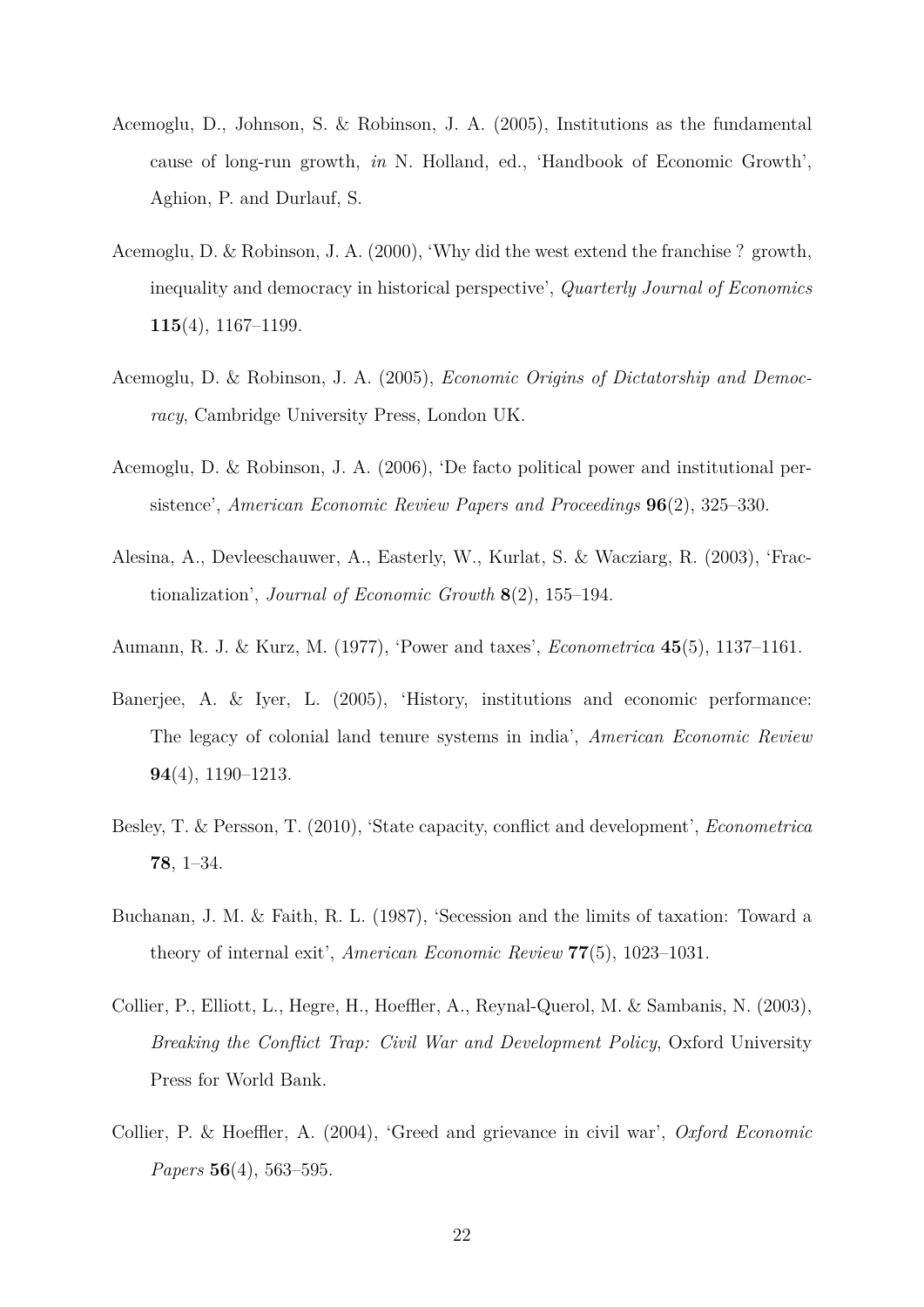- Acemoglu, D., Johnson, S. & Robinson, J. A. (2005), Institutions as the fundamental cause of long-run growth, *in* N. Holland, ed., 'Handbook of Economic Growth', Aghion, P. and Durlauf, S.
- Acemoglu, D. & Robinson, J. A. (2000), 'Why did the west extend the franchise ? growth, inequality and democracy in historical perspective', *Quarterly Journal of Economics* **115**(4), 1167–1199.
- Acemoglu, D. & Robinson, J. A. (2005), *Economic Origins of Dictatorship and Democracy*, Cambridge University Press, London UK.
- Acemoglu, D. & Robinson, J. A. (2006), 'De facto political power and institutional persistence', *American Economic Review Papers and Proceedings* **96**(2), 325–330.
- Alesina, A., Devleeschauwer, A., Easterly, W., Kurlat, S. & Wacziarg, R. (2003), 'Fractionalization', *Journal of Economic Growth* **8**(2), 155–194.
- Aumann, R. J. & Kurz, M. (1977), 'Power and taxes', *Econometrica* **45**(5), 1137–1161.
- Banerjee, A. & Iyer, L. (2005), 'History, institutions and economic performance: The legacy of colonial land tenure systems in india', *American Economic Review* **94**(4), 1190–1213.
- Besley, T. & Persson, T. (2010), 'State capacity, conflict and development', *Econometrica* **78**, 1–34.
- Buchanan, J. M. & Faith, R. L. (1987), 'Secession and the limits of taxation: Toward a theory of internal exit', *American Economic Review* **77**(5), 1023–1031.
- Collier, P., Elliott, L., Hegre, H., Hoeffler, A., Reynal-Querol, M. & Sambanis, N. (2003), *Breaking the Conflict Trap: Civil War and Development Policy*, Oxford University Press for World Bank.
- Collier, P. & Hoeffler, A. (2004), 'Greed and grievance in civil war', *Oxford Economic Papers* **56**(4), 563–595.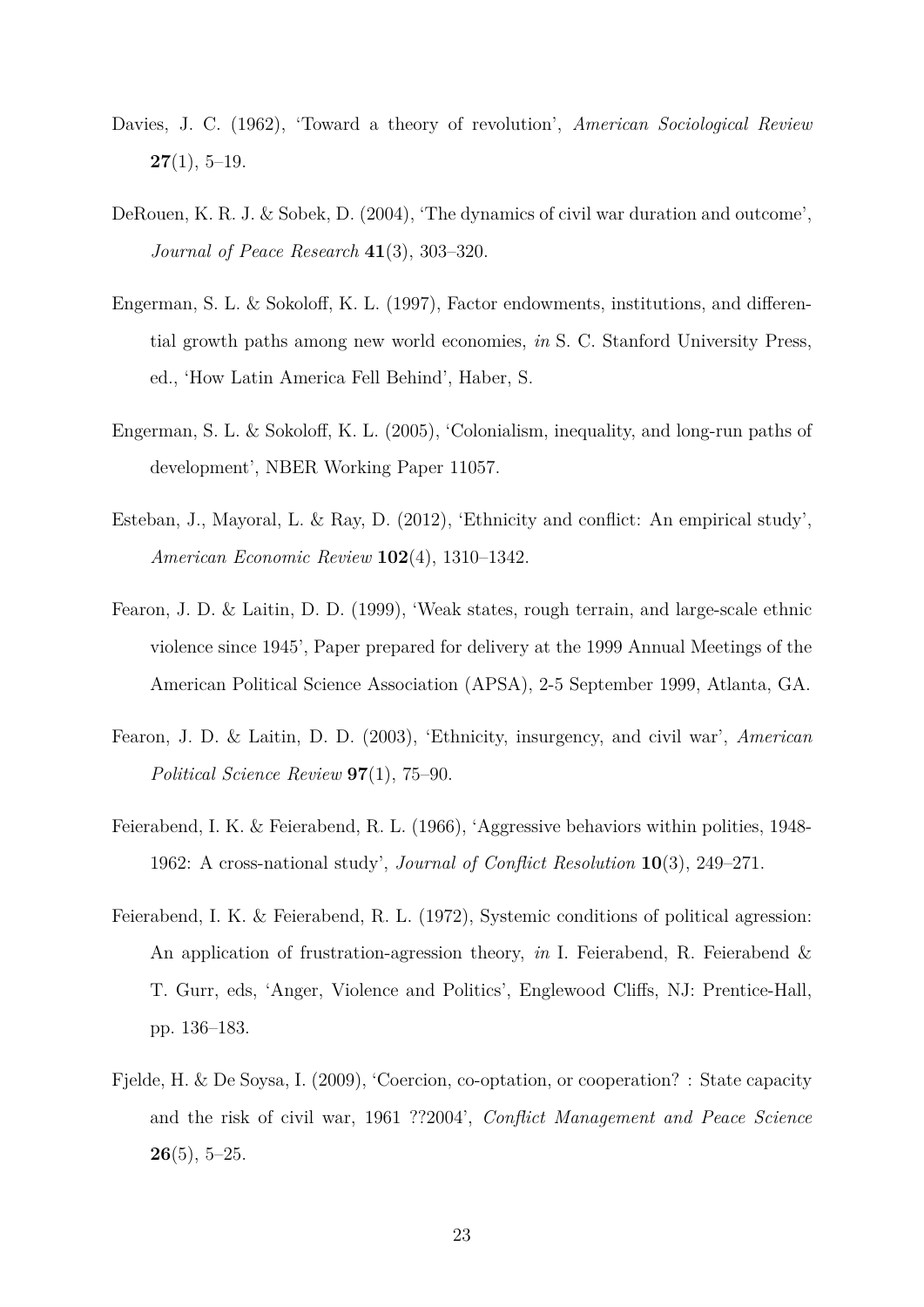- Davies, J. C. (1962), 'Toward a theory of revolution', *American Sociological Review* **27**(1), 5–19.
- DeRouen, K. R. J. & Sobek, D. (2004), 'The dynamics of civil war duration and outcome', *Journal of Peace Research* **41**(3), 303–320.
- Engerman, S. L. & Sokoloff, K. L. (1997), Factor endowments, institutions, and differential growth paths among new world economies, *in* S. C. Stanford University Press, ed., 'How Latin America Fell Behind', Haber, S.
- Engerman, S. L. & Sokoloff, K. L. (2005), 'Colonialism, inequality, and long-run paths of development', NBER Working Paper 11057.
- Esteban, J., Mayoral, L. & Ray, D. (2012), 'Ethnicity and conflict: An empirical study', *American Economic Review* **102**(4), 1310–1342.
- Fearon, J. D. & Laitin, D. D. (1999), 'Weak states, rough terrain, and large-scale ethnic violence since 1945', Paper prepared for delivery at the 1999 Annual Meetings of the American Political Science Association (APSA), 2-5 September 1999, Atlanta, GA.
- Fearon, J. D. & Laitin, D. D. (2003), 'Ethnicity, insurgency, and civil war', *American Political Science Review* **97**(1), 75–90.
- Feierabend, I. K. & Feierabend, R. L. (1966), 'Aggressive behaviors within polities, 1948- 1962: A cross-national study', *Journal of Conflict Resolution* **10**(3), 249–271.
- Feierabend, I. K. & Feierabend, R. L. (1972), Systemic conditions of political agression: An application of frustration-agression theory, *in* I. Feierabend, R. Feierabend & T. Gurr, eds, 'Anger, Violence and Politics', Englewood Cliffs, NJ: Prentice-Hall, pp. 136–183.
- Fjelde, H. & De Soysa, I. (2009), 'Coercion, co-optation, or cooperation? : State capacity and the risk of civil war, 1961 ??2004', *Conflict Management and Peace Science* **26**(5), 5–25.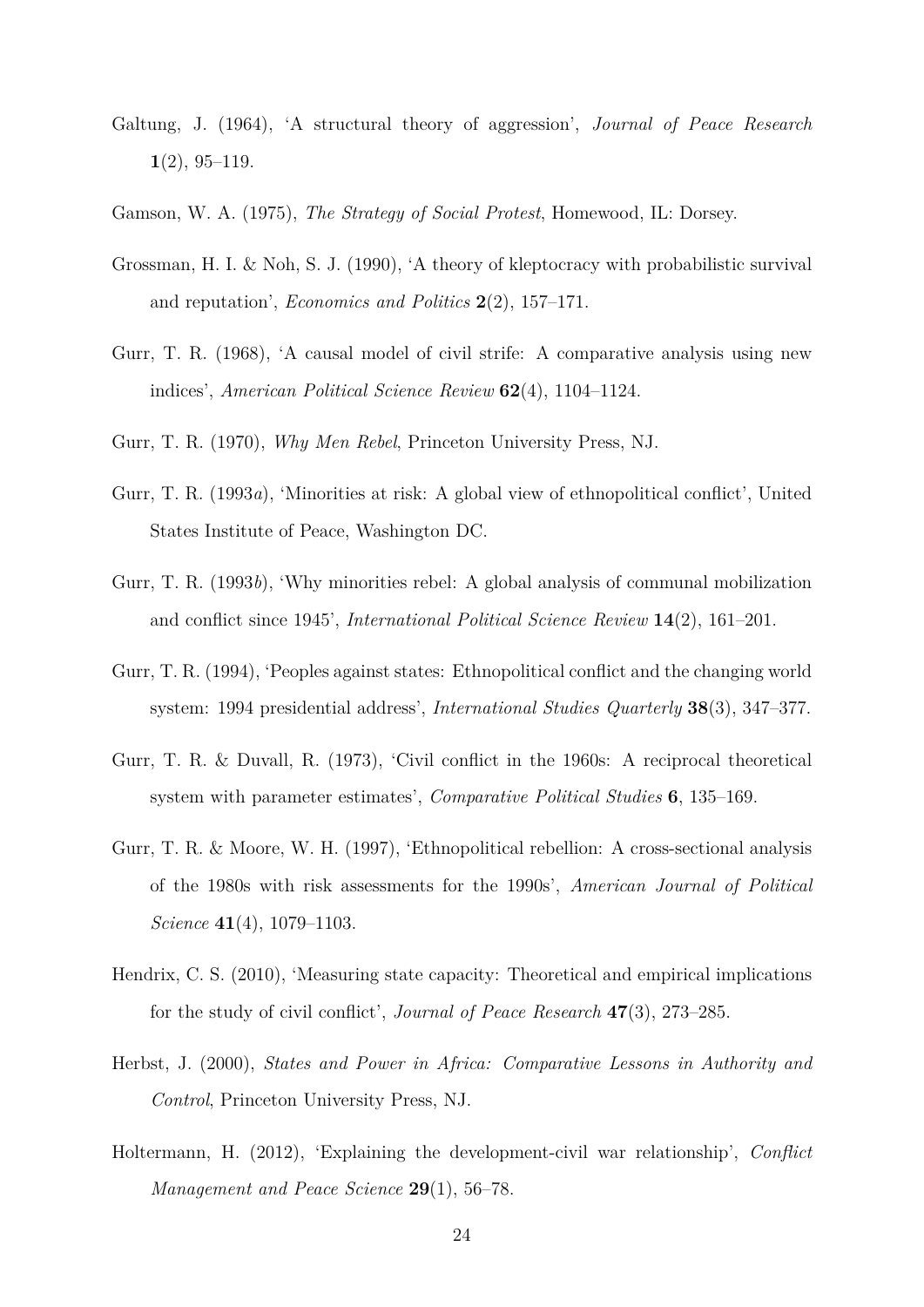- Galtung, J. (1964), 'A structural theory of aggression', *Journal of Peace Research* **1**(2), 95–119.
- Gamson, W. A. (1975), *The Strategy of Social Protest*, Homewood, IL: Dorsey.
- Grossman, H. I. & Noh, S. J. (1990), 'A theory of kleptocracy with probabilistic survival and reputation', *Economics and Politics* **2**(2), 157–171.
- Gurr, T. R. (1968), 'A causal model of civil strife: A comparative analysis using new indices', *American Political Science Review* **62**(4), 1104–1124.
- Gurr, T. R. (1970), *Why Men Rebel*, Princeton University Press, NJ.
- Gurr, T. R. (1993*a*), 'Minorities at risk: A global view of ethnopolitical conflict', United States Institute of Peace, Washington DC.
- Gurr, T. R. (1993*b*), 'Why minorities rebel: A global analysis of communal mobilization and conflict since 1945', *International Political Science Review* **14**(2), 161–201.
- Gurr, T. R. (1994), 'Peoples against states: Ethnopolitical conflict and the changing world system: 1994 presidential address', *International Studies Quarterly* **38**(3), 347–377.
- Gurr, T. R. & Duvall, R. (1973), 'Civil conflict in the 1960s: A reciprocal theoretical system with parameter estimates', *Comparative Political Studies* **6**, 135–169.
- Gurr, T. R. & Moore, W. H. (1997), 'Ethnopolitical rebellion: A cross-sectional analysis of the 1980s with risk assessments for the 1990s', *American Journal of Political Science* **41**(4), 1079–1103.
- Hendrix, C. S. (2010), 'Measuring state capacity: Theoretical and empirical implications for the study of civil conflict', *Journal of Peace Research* **47**(3), 273–285.
- Herbst, J. (2000), *States and Power in Africa: Comparative Lessons in Authority and Control*, Princeton University Press, NJ.
- Holtermann, H. (2012), 'Explaining the development-civil war relationship', *Conflict Management and Peace Science* **29**(1), 56–78.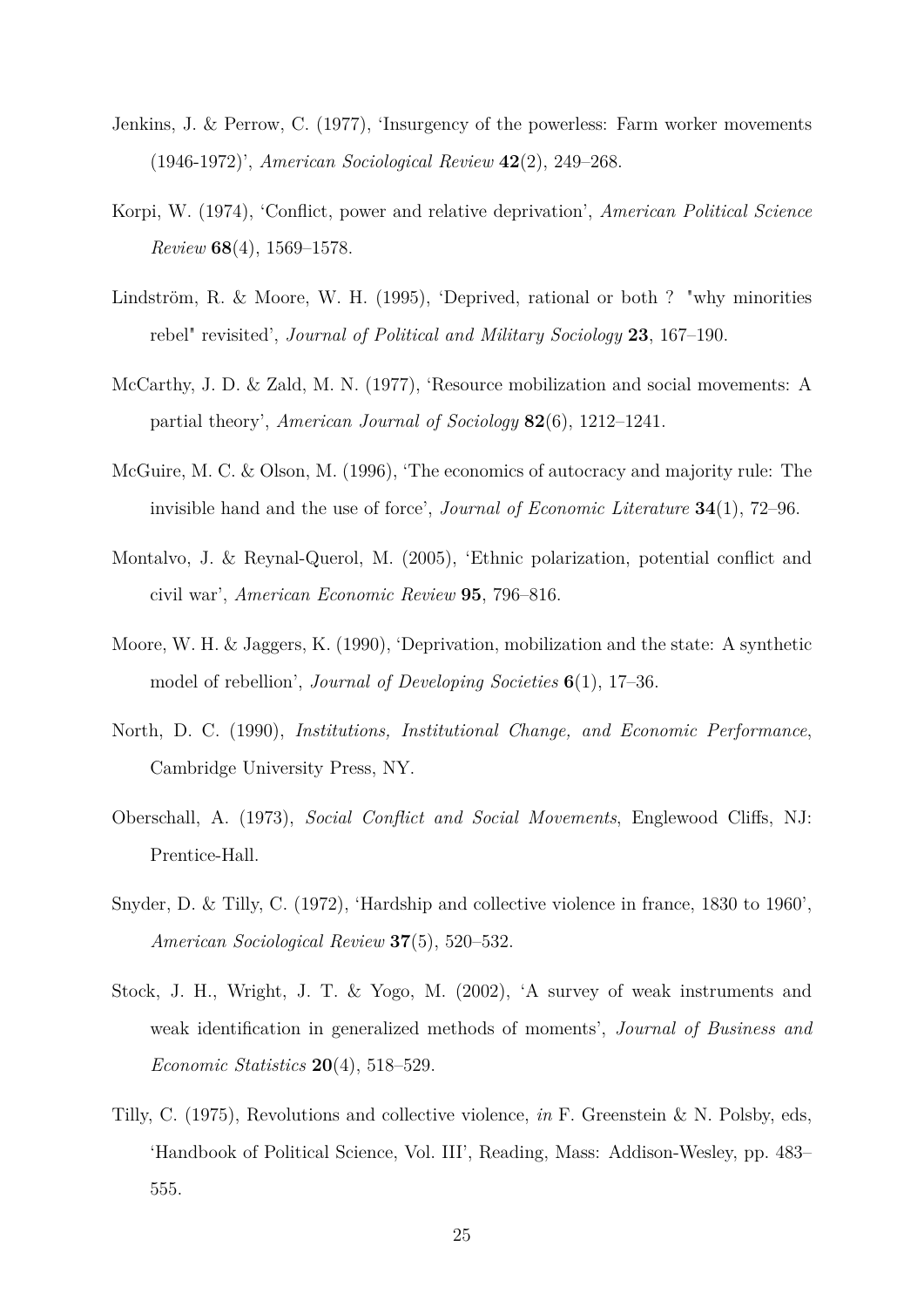- Jenkins, J. & Perrow, C. (1977), 'Insurgency of the powerless: Farm worker movements (1946-1972)', *American Sociological Review* **42**(2), 249–268.
- Korpi, W. (1974), 'Conflict, power and relative deprivation', *American Political Science Review* **68**(4), 1569–1578.
- Lindström, R. & Moore, W. H. (1995), 'Deprived, rational or both ? "why minorities rebel" revisited', *Journal of Political and Military Sociology* **23**, 167–190.
- McCarthy, J. D. & Zald, M. N. (1977), 'Resource mobilization and social movements: A partial theory', *American Journal of Sociology* **82**(6), 1212–1241.
- McGuire, M. C. & Olson, M. (1996), 'The economics of autocracy and majority rule: The invisible hand and the use of force', *Journal of Economic Literature* **34**(1), 72–96.
- Montalvo, J. & Reynal-Querol, M. (2005), 'Ethnic polarization, potential conflict and civil war', *American Economic Review* **95**, 796–816.
- Moore, W. H. & Jaggers, K. (1990), 'Deprivation, mobilization and the state: A synthetic model of rebellion', *Journal of Developing Societies* **6**(1), 17–36.
- North, D. C. (1990), *Institutions, Institutional Change, and Economic Performance*, Cambridge University Press, NY.
- Oberschall, A. (1973), *Social Conflict and Social Movements*, Englewood Cliffs, NJ: Prentice-Hall.
- Snyder, D. & Tilly, C. (1972), 'Hardship and collective violence in france, 1830 to 1960', *American Sociological Review* **37**(5), 520–532.
- Stock, J. H., Wright, J. T. & Yogo, M. (2002), 'A survey of weak instruments and weak identification in generalized methods of moments', *Journal of Business and Economic Statistics* **20**(4), 518–529.
- Tilly, C. (1975), Revolutions and collective violence, *in* F. Greenstein & N. Polsby, eds, 'Handbook of Political Science, Vol. III', Reading, Mass: Addison-Wesley, pp. 483– 555.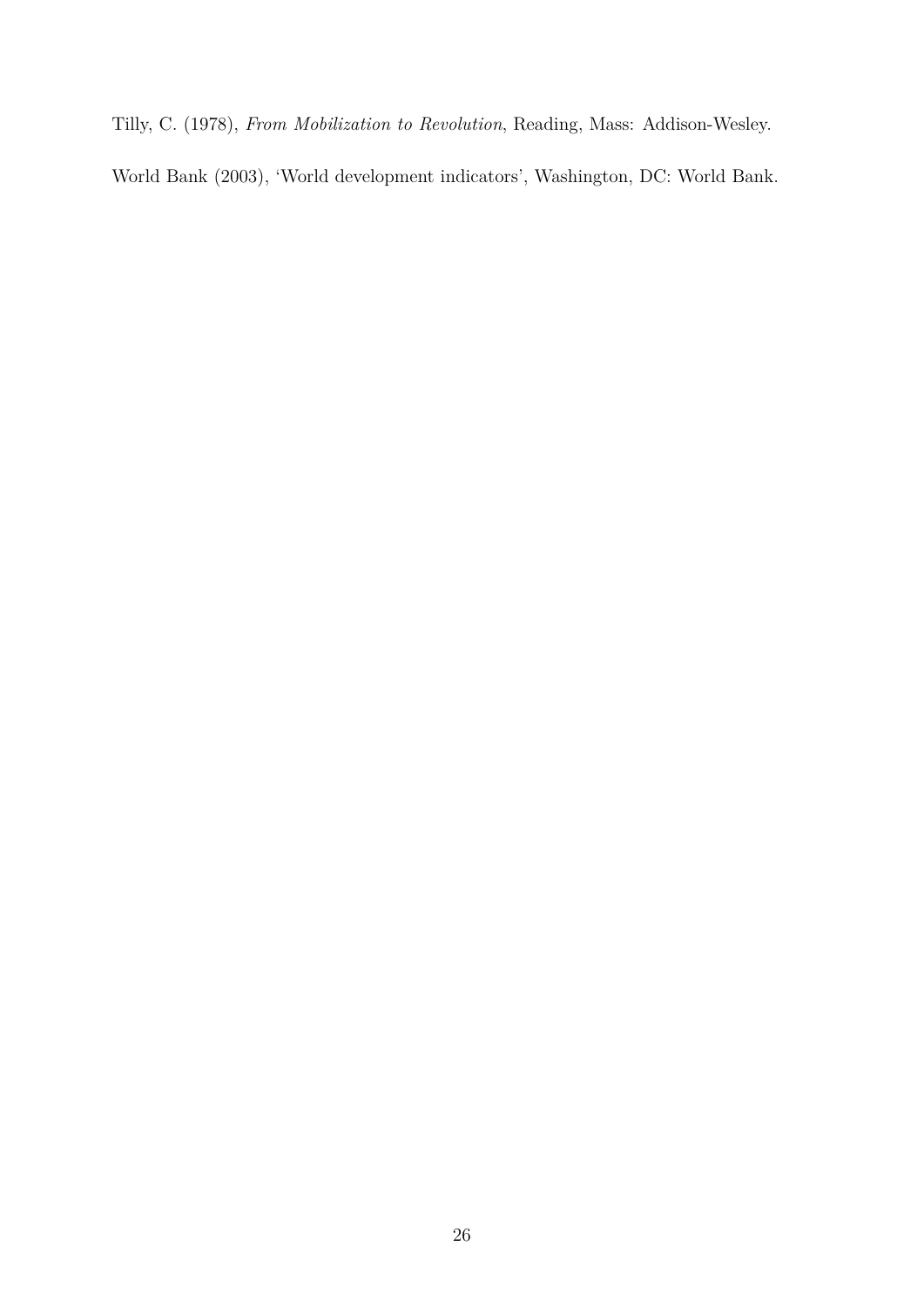Tilly, C. (1978), *From Mobilization to Revolution*, Reading, Mass: Addison-Wesley.

World Bank (2003), 'World development indicators', Washington, DC: World Bank.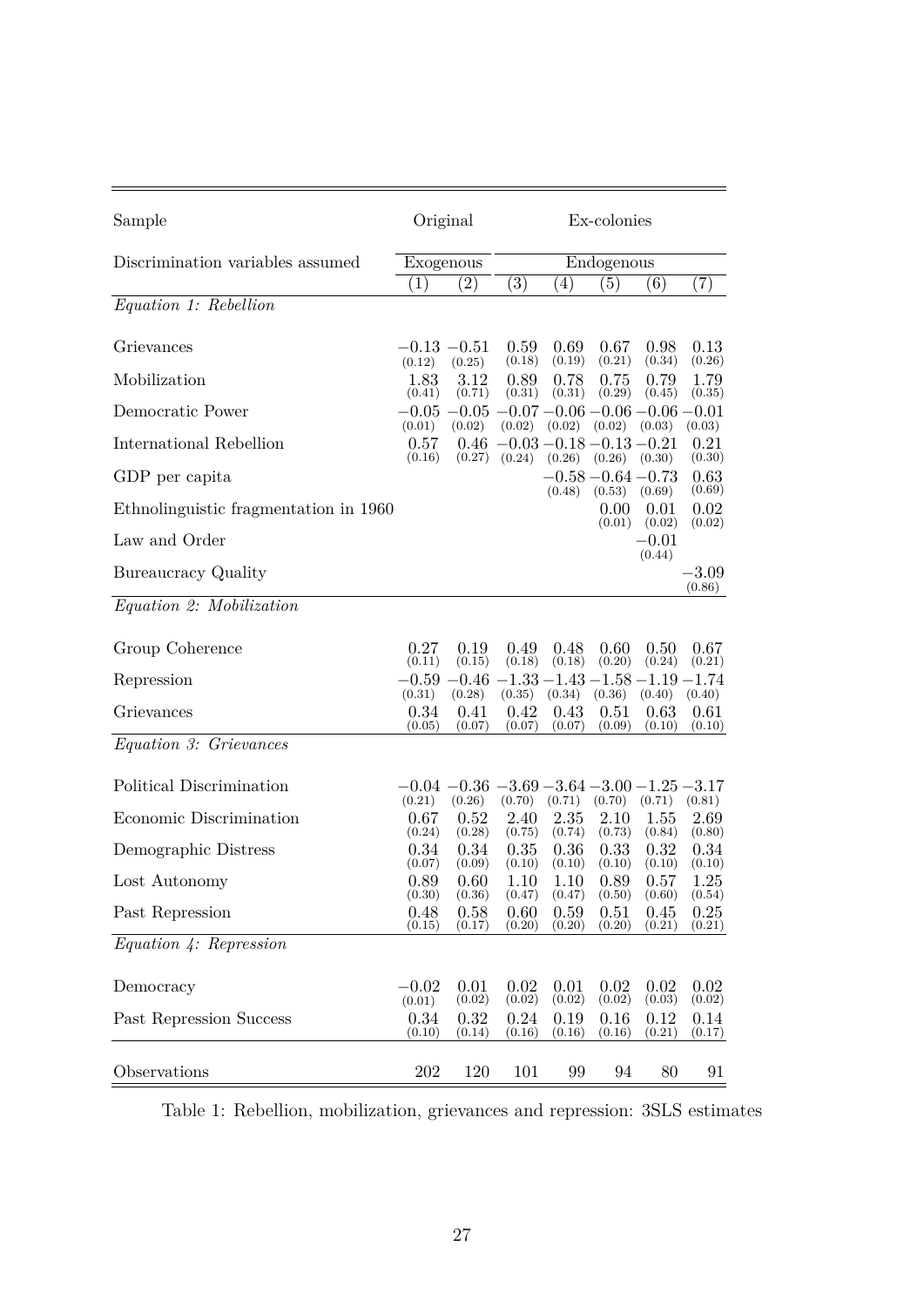| Sample                                | Original                 |                                                                   | Ex-colonies                            |                          |                                                     |                          |                          |
|---------------------------------------|--------------------------|-------------------------------------------------------------------|----------------------------------------|--------------------------|-----------------------------------------------------|--------------------------|--------------------------|
| Discrimination variables assumed      | Exogenous                |                                                                   |                                        |                          | Endogenous                                          |                          |                          |
|                                       | (1)                      | (2)                                                               | (3)                                    | (4)                      | (5)                                                 | (6)                      | (7)                      |
| Equation 1: Rebellion                 |                          |                                                                   |                                        |                          |                                                     |                          |                          |
| Grievances                            | $-0.13 - 0.51$<br>(0.12) | (0.25)                                                            | 0.59<br>(0.18)                         | 0.69<br>(0.19)           | 0.67<br>(0.21)                                      | 0.98<br>(0.34)           | 0.13<br>(0.26)           |
| Mobilization                          | 1.83                     | 3.12                                                              | 0.89                                   | 0.78                     | 0.75                                                | 0.79                     | 1.79                     |
| Democratic Power                      | (0.41)                   | (0.71)<br>$-0.05 -0.05 -0.07 -0.06 -0.06 -0.06 -0.01$             | (0.31)                                 | (0.31)                   | (0.29)                                              | (0.45)                   | (0.35)                   |
| International Rebellion               | (0.01)<br>0.57<br>(0.16) | (0.02)<br>0.46                                                    | (0.02)<br>$-0.03 - 0.18 - 0.13 - 0.21$ |                          | $(0.02)$ $(0.02)$                                   | (0.03)                   | (0.03)<br>0.21           |
| GDP per capita                        |                          | (0.27)                                                            | (0.24)                                 |                          | $(0.26)$ $(0.26)$ $(0.30)$<br>$-0.58 - 0.64 - 0.73$ |                          | (0.30)<br>0.63<br>(0.69) |
| Ethnolinguistic fragmentation in 1960 |                          |                                                                   |                                        | (0.48)                   | $(0.53)$ $(0.69)$<br>0.00<br>(0.01)                 | 0.01<br>(0.02)           | 0.02<br>(0.02)           |
| Law and Order                         |                          |                                                                   |                                        |                          |                                                     | $-0.01$<br>(0.44)        |                          |
| Bureaucracy Quality                   |                          |                                                                   |                                        |                          |                                                     |                          | $-3.09$<br>(0.86)        |
| Equation 2: Mobilization              |                          |                                                                   |                                        |                          |                                                     |                          |                          |
| Group Coherence                       | 0.27<br>(0.11)           | 0.19<br>(0.15)                                                    | 0.49<br>(0.18)                         | 0.48<br>(0.18)           | 0.60<br>(0.20)                                      | 0.50<br>(0.24)           | 0.67<br>(0.21)           |
| Repression                            |                          | $-0.59 - 0.46 - 1.33 - 1.43 - 1.58 - 1.19 - 1.74$                 |                                        |                          |                                                     |                          |                          |
| Grievances                            | (0.31)<br>0.34<br>(0.05) | (0.28)<br>0.41<br>(0.07)                                          | (0.35)<br>0.42<br>(0.07)               | (0.34)<br>0.43<br>(0.07) | (0.36)<br>0.51<br>(0.09)                            | (0.40)<br>0.63<br>(0.10) | (0.40)<br>0.61<br>(0.10) |
| <i>Equation 3: Grievances</i>         |                          |                                                                   |                                        |                          |                                                     |                          |                          |
| Political Discrimination              | (0.21)                   | $-0.04$ $-0.36$ $-3.69$ $-3.64$ $-3.00$ $-1.25$ $-3.17$<br>(0.26) |                                        | $(0.70)$ $(0.71)$        | $(0.70)$ $(0.71)$                                   |                          |                          |
| Economic Discrimination               | 0.67<br>(0.24)           | 0.52<br>(0.28)                                                    | 2.40<br>(0.75)                         | 2.35<br>(0.74)           | 2.10<br>(0.73)                                      | 1.55<br>(0.84)           | (0.81)<br>2.69<br>(0.80) |
| Demographic Distress                  | 0.34<br>(0.07)           | 0.34<br>(0.09)                                                    | 0.35<br>(0.10)                         | 0.36<br>(0.10)           | 0.33<br>(0.10)                                      | 0.32<br>(0.10)           | 0.34<br>(0.10)           |
| Lost Autonomy                         | 0.89<br>(0.30)           | 0.60<br>(0.36)                                                    | 1.10<br>(0.47)                         | 1.10<br>(0.47)           | 0.89<br>(0.50)                                      | 0.57<br>(0.60)           | 1.25<br>(0.54)           |
| Past Repression                       | 0.48<br>(0.15)           | 0.58<br>(0.17)                                                    | 0.60<br>(0.20)                         | 0.59<br>(0.20)           | 0.51<br>(0.20)                                      | 0.45<br>(0.21)           | 0.25<br>(0.21)           |
| Equation 4: Representon               |                          |                                                                   |                                        |                          |                                                     |                          |                          |
| Democracy                             | $-0.02$<br>(0.01)        | 0.01<br>(0.02)                                                    | 0.02<br>(0.02)                         | 0.01<br>(0.02)           | 0.02<br>(0.02)                                      | 0.02<br>(0.03)           | 0.02<br>(0.02)           |
| Past Repression Success               | 0.34<br>(0.10)           | 0.32<br>(0.14)                                                    | 0.24<br>(0.16)                         | 0.19<br>(0.16)           | 0.16<br>(0.16)                                      | 0.12<br>(0.21)           | 0.14<br>(0.17)           |
| Observations                          | 202                      | 120                                                               | 101                                    | 99                       | 94                                                  | 80                       | 91                       |

Table 1: Rebellion, mobilization, grievances and repression: 3SLS estimates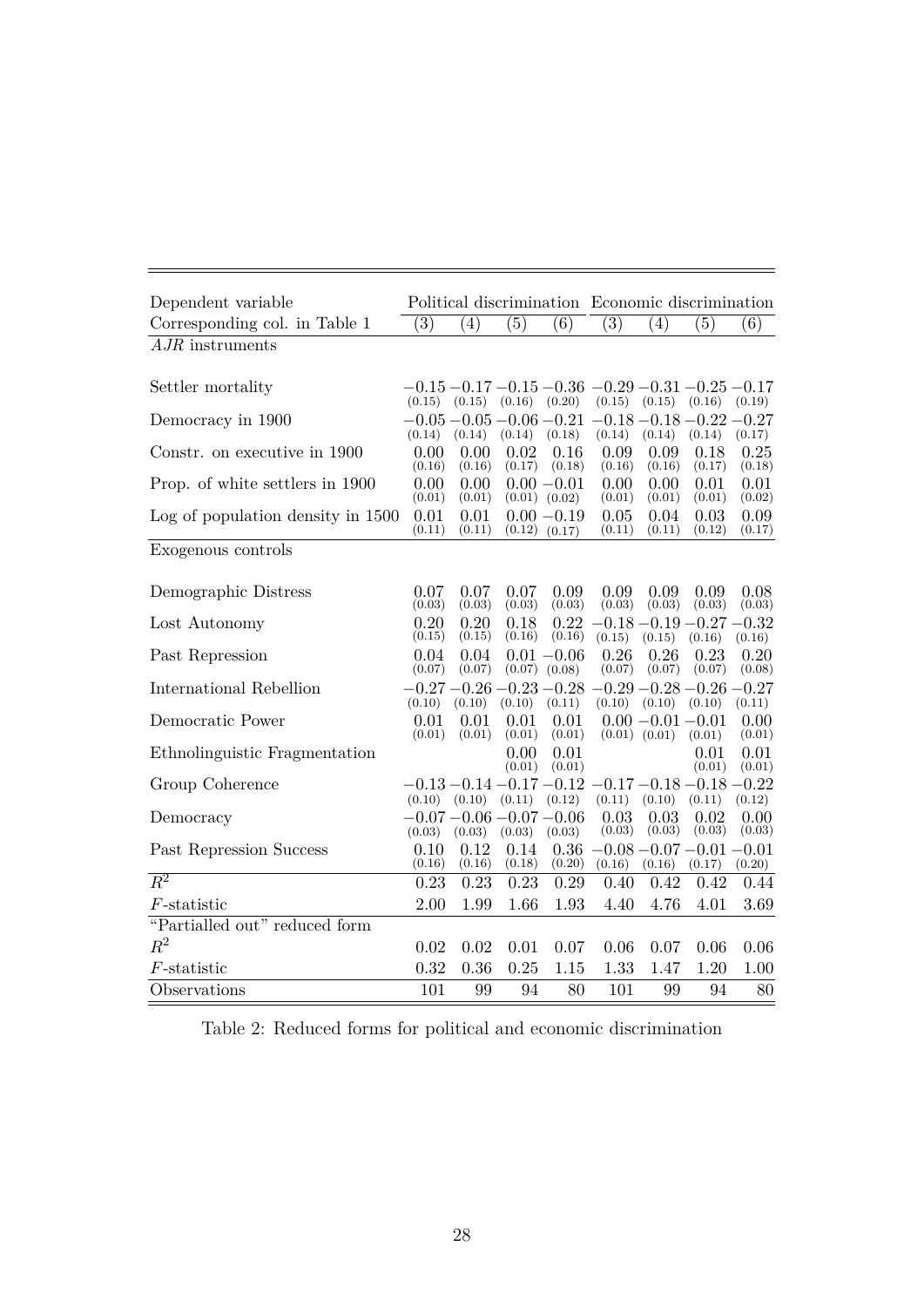| Dependent variable                |                |                                        |                |                                        | Political discrimination Economic discrimination                   |                                           |                |                   |
|-----------------------------------|----------------|----------------------------------------|----------------|----------------------------------------|--------------------------------------------------------------------|-------------------------------------------|----------------|-------------------|
| Corresponding col. in Table 1     | (3)            | $\left( 4\right)$                      | (5)            | (6)                                    | $\left( 3\right)$                                                  | $\left( 4\right)$                         | (5)            | (6)               |
| $AJR$ instruments                 |                |                                        |                |                                        |                                                                    |                                           |                |                   |
| Settler mortality                 | (0.15)         | (0.15)                                 | (0.16)         | (0.20)                                 | $-0.15 - 0.17 - 0.15 - 0.36 - 0.29 - 0.31 - 0.25 - 0.17$<br>(0.15) | (0.15)                                    | (0.16)         | (0.19)            |
| Democracy in 1900                 | (0.14)         | (0.14)                                 | (0.14)         | (0.18)                                 | $-0.05 - 0.05 - 0.06 - 0.21 - 0.18 - 0.18 - 0.22 - 0.27$<br>(0.14) | (0.14)                                    | (0.14)         | (0.17)            |
| Constr. on executive in 1900      | 0.00<br>(0.16) | 0.00<br>(0.16)                         | 0.02<br>(0.17) | 0.16<br>(0.18)                         | 0.09<br>(0.16)                                                     | 0.09<br>(0.16)                            | 0.18<br>(0.17) | 0.25<br>(0.18)    |
| Prop. of white settlers in 1900   | 0.00<br>(0.01) | 0.00<br>(0.01)                         |                | $0.00 - 0.01$<br>$(0.01)$ $(0.02)$     | 0.00<br>(0.01)                                                     | 0.00<br>(0.01)                            | 0.01<br>(0.01) | 0.01<br>(0.02)    |
| Log of population density in 1500 | 0.01<br>(0.11) | 0.01<br>(0.11)                         | (0.12)         | $0.00 - 0.19$<br>(0.17)                | 0.05<br>(0.11)                                                     | 0.04<br>(0.11)                            | 0.03<br>(0.12) | 0.09<br>(0.17)    |
| Exogenous controls                |                |                                        |                |                                        |                                                                    |                                           |                |                   |
| Demographic Distress              | 0.07<br>(0.03) | 0.07<br>(0.03)                         | 0.07<br>(0.03) | 0.09<br>(0.03)                         | 0.09<br>(0.03)                                                     | 0.09<br>(0.03)                            | 0.09<br>(0.03) | 0.08<br>(0.03)    |
| Lost Autonomy                     | 0.20<br>(0.15) | 0.20<br>(0.15)                         | 0.18<br>(0.16) | 0.22<br>(0.16)                         | (0.15)                                                             | $-0.18$ $-0.19$ $-0.27$ $-0.32$<br>(0.15) | (0.16)         | (0.16)            |
| Past Repression                   | 0.04<br>(0.07) | 0.04<br>(0.07)                         | (0.07)         | $0.01 - 0.06$<br>(0.08)                | 0.26<br>(0.07)                                                     | 0.26<br>(0.07)                            | 0.23<br>(0.07) | 0.20<br>(0.08)    |
| International Rebellion           | (0.10)         | $-0.27 - 0.26 - 0.23 - 0.28$<br>(0.10) | (0.10)         | (0.11)                                 | $-0.29 - 0.28 - 0.26$<br>(0.10)                                    | $(0.10)$ $(0.10)$                         |                | $-0.27$<br>(0.11) |
| Democratic Power                  | 0.01<br>(0.01) | 0.01<br>(0.01)                         | 0.01<br>(0.01) | 0.01<br>(0.01)                         |                                                                    | $0.00 - 0.01 - 0.01$<br>$(0.01)$ $(0.01)$ | (0.01)         | 0.00<br>(0.01)    |
| Ethnolinguistic Fragmentation     |                |                                        | 0.00<br>(0.01) | 0.01<br>(0.01)                         |                                                                    |                                           | 0.01<br>(0.01) | 0.01<br>(0.01)    |
| Group Coherence                   |                | $(0.10)$ $(0.10)$ $(0.11)$             |                | $-0.13 - 0.14 - 0.17 - 0.12$<br>(0.12) | $-0.17 - 0.18 - 0.18 - 0.22$<br>(0.11)                             | (0.10)                                    | (0.11)         | (0.12)            |
| Democracy                         | (0.03)         | $-0.07 - 0.06 - 0.07 - 0.06$<br>(0.03) | (0.03)         | (0.03)                                 | 0.03<br>(0.03)                                                     | 0.03<br>(0.03)                            | 0.02<br>(0.03) | 0.00<br>(0.03)    |
| Past Repression Success           | 0.10<br>(0.16) | 0.12<br>(0.16)                         | 0.14<br>(0.18) | 0.36<br>(0.20)                         | (0.16)                                                             | $-0.08 - 0.07 - 0.01 - 0.01$<br>(0.16)    | (0.17)         | (0.20)            |
| $R^2$                             | 0.23           | 0.23                                   | 0.23           | 0.29                                   | 0.40                                                               | 0.42                                      | 0.42           | 0.44              |
| $F$ -statistic                    | 2.00           | 1.99                                   | 1.66           | 1.93                                   | 4.40                                                               | 4.76                                      | 4.01           | 3.69              |
| "Partialled out" reduced form     |                |                                        |                |                                        |                                                                    |                                           |                |                   |
| $R^2$                             | 0.02           | 0.02                                   | 0.01           | 0.07                                   | 0.06                                                               | 0.07                                      | 0.06           | 0.06              |
| $F$ -statistic                    | 0.32           | 0.36                                   | 0.25           | 1.15                                   | 1.33                                                               | 1.47                                      | 1.20           | 1.00              |
| Observations                      | 101            | 99                                     | 94             | 80                                     | 101                                                                | 99                                        | 94             | 80                |

Table 2: Reduced forms for political and economic discrimination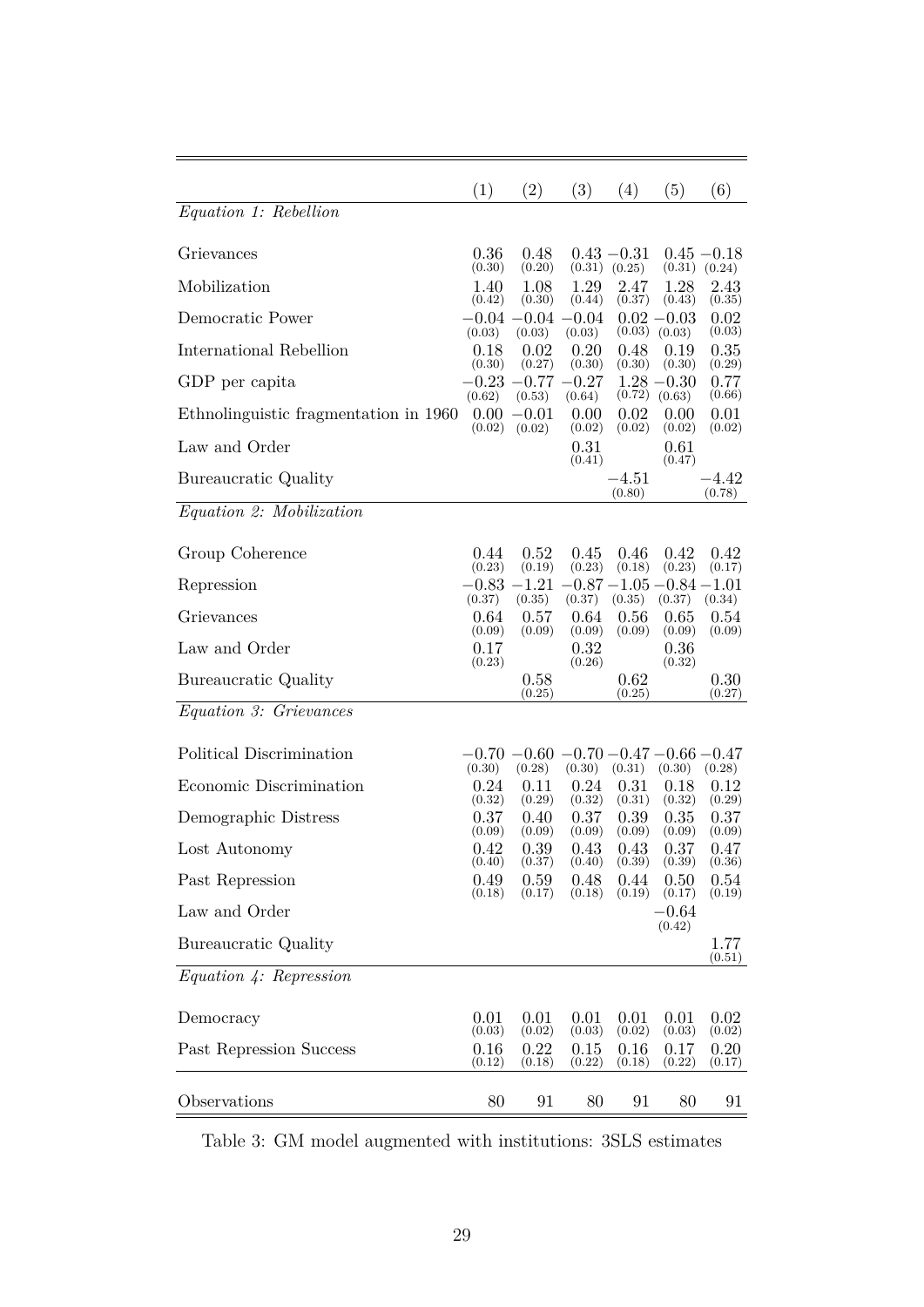|                                       | (1)                      | (2)                                       | (3)                      | (4)                      | (5)                             | (6)                      |
|---------------------------------------|--------------------------|-------------------------------------------|--------------------------|--------------------------|---------------------------------|--------------------------|
| Equation 1: Rebellion                 |                          |                                           |                          |                          |                                 |                          |
| Grievances                            | 0.36<br>(0.30)           | 0.48<br>(0.20)                            | (0.31)                   | $0.43 - 0.31$<br>(0.25)  | (0.31)                          | $0.45 - 0.18$<br>(0.24)  |
| Mobilization                          | 1.40<br>(0.42)           | 1.08<br>(0.30)                            | 1.29<br>(0.44)           | 2.47<br>(0.37)           | 1.28<br>(0.43)                  | 2.43<br>(0.35)           |
| Democratic Power                      |                          | $-0.04 - 0.04 - 0.04$                     |                          | (0.03)                   | $0.02 - 0.03$                   | 0.02                     |
| International Rebellion               | (0.03)<br>0.18           | (0.03)<br>0.02                            | (0.03)<br>0.20           | 0.48                     | (0.03)<br>0.19                  | (0.03)<br>0.35           |
| GDP per capita                        | (0.30)<br>$-0.23\,$      | (0.27)<br>$-0.77 - 0.27$                  | (0.30)                   | (0.30)                   | (0.30)<br>$1.28 - 0.30$         | (0.29)<br>0.77           |
| Ethnolinguistic fragmentation in 1960 | (0.62)<br>0.00<br>(0.02) | (0.53)<br>$-0.01$<br>(0.02)               | (0.64)<br>0.00<br>(0.02) | (0.72)<br>0.02<br>(0.02) | (0.63)<br>0.00<br>(0.02)        | (0.66)<br>0.01<br>(0.02) |
| Law and Order                         |                          |                                           | 0.31                     |                          | 0.61                            |                          |
| Bureaucratic Quality                  |                          |                                           | (0.41)                   | $-4.51\,$<br>(0.80)      | (0.47)                          | $-4.42\,$<br>(0.78)      |
| Equation 2: Mobilization              |                          |                                           |                          |                          |                                 |                          |
| Group Coherence                       | 0.44<br>(0.23)           | 0.52<br>(0.19)                            | 0.45<br>(0.23)           | 0.46<br>(0.18)           | 0.42<br>(0.23)                  | 0.42<br>(0.17)           |
| Repression                            | $-0.83\,$                | $-1.21$                                   |                          |                          | $-0.87$ $-1.05$ $-0.84$ $-1.01$ |                          |
| Grievances                            | (0.37)<br>0.64           | (0.35)<br>0.57                            | (0.37)<br>0.64           | (0.35)<br>0.56           | (0.37)<br>0.65                  | (0.34)<br>0.54           |
| Law and Order                         | (0.09)<br>0.17<br>(0.23) | (0.09)                                    | (0.09)<br>0.32<br>(0.26) | (0.09)                   | (0.09)<br>0.36<br>(0.32)        | (0.09)                   |
| Bureaucratic Quality                  |                          | 0.58<br>(0.25)                            |                          | 0.62<br>(0.25)           |                                 | 0.30<br>(0.27)           |
| <i>Equation 3: Grievances</i>         |                          |                                           |                          |                          |                                 |                          |
| Political Discrimination              | $-0.70$<br>(0.30)        | $-0.60 -0.70 -0.47 -0.66 -0.47$<br>(0.28) | (0.30)                   | (0.31)                   | (0.30)                          | (0.28)                   |
| Economic Discrimination               | 0.24<br>(0.32)           | 0.11<br>(0.29)                            | 0.24<br>(0.32)           | 0.31<br>(0.31)           | 0.18<br>(0.32)                  | 0.12<br>(0.29)           |
| Demographic Distress                  | 0.37<br>(0.09)           | 0.40<br>(0.09)                            | 0.37<br>(0.09)           | 0.39<br>(0.09)           | 0.35<br>(0.09)                  | 0.37<br>(0.09)           |
| Lost Autonomy                         | 0.42<br>(0.40)           | 0.39<br>(0.37)                            | 0.43<br>(0.40)           | 0.43<br>(0.39)           | 0.37<br>(0.39)                  | 0.47<br>(0.36)           |
| Past Repression                       | 0.49<br>(0.18)           | 0.59<br>(0.17)                            | 0.48<br>(0.18)           | 0.44<br>(0.19)           | 0.50<br>(0.17)                  | 0.54<br>(0.19)           |
| Law and Order                         |                          |                                           |                          |                          | $-0.64$<br>(0.42)               |                          |
| Bureaucratic Quality                  |                          |                                           |                          |                          |                                 | 1.77<br>(0.51)           |
| Equation 4: Representon               |                          |                                           |                          |                          |                                 |                          |
| Democracy                             | 0.01                     | 0.01                                      | 0.01                     | 0.01                     | 0.01                            | 0.02                     |
| Past Repression Success               | (0.03)<br>0.16<br>(0.12) | (0.02)<br>0.22<br>(0.18)                  | (0.03)<br>0.15<br>(0.22) | (0.02)<br>0.16<br>(0.18) | (0.03)<br>0.17<br>(0.22)        | (0.02)<br>0.20<br>(0.17) |
| Observations                          | 80                       | 91                                        | 80                       | 91                       | 80                              | 91                       |

Table 3: GM model augmented with institutions: 3SLS estimates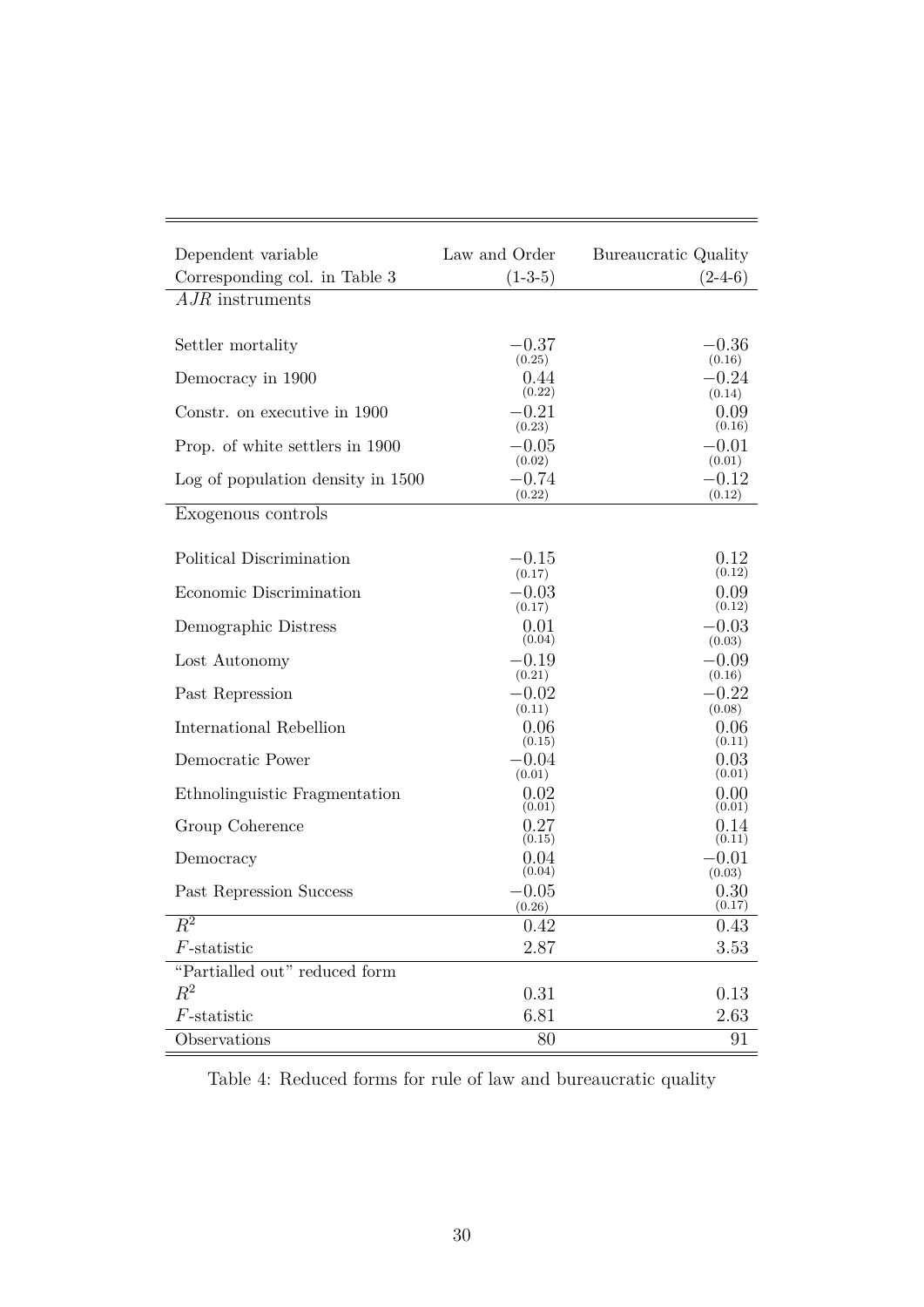| Dependent variable<br>Corresponding col. in Table 3 | Law and Order<br>$(1-3-5)$ | Bureaucratic Quality<br>$(2-4-6)$ |
|-----------------------------------------------------|----------------------------|-----------------------------------|
| $A$ <i>JR</i> instruments                           |                            |                                   |
|                                                     |                            |                                   |
| Settler mortality                                   | $-0.37$                    | $-0.36$                           |
|                                                     | (0.25)                     | (0.16)                            |
| Democracy in 1900                                   | 0.44<br>(0.22)             | $-0.24$<br>(0.14)                 |
| Constr. on executive in 1900                        | $-0.21$                    | 0.09                              |
| Prop. of white settlers in 1900                     | (0.23)<br>$-0.05$          | (0.16)<br>$-0.01$                 |
|                                                     | (0.02)                     | (0.01)                            |
| Log of population density in 1500                   | $-0.74$<br>(0.22)          | $-0.12$<br>(0.12)                 |
| Exogenous controls                                  |                            |                                   |
|                                                     |                            |                                   |
| Political Discrimination                            | $-0.15$                    | 0.12                              |
|                                                     | (0.17)                     | (0.12)                            |
| Economic Discrimination                             | $-0.03$<br>(0.17)          | 0.09<br>(0.12)                    |
| Demographic Distress                                | 0.01                       | $-0.03$                           |
|                                                     | (0.04)                     | (0.03)                            |
| Lost Autonomy                                       | $-0.19$                    | $-0.09$                           |
| Past Repression                                     | (0.21)<br>$-0.02$          | (0.16)<br>$-0.22$                 |
|                                                     | (0.11)                     | (0.08)                            |
| International Rebellion                             | 0.06                       | 0.06                              |
| Democratic Power                                    | (0.15)<br>$-0.04$          | (0.11)<br>0.03                    |
|                                                     | (0.01)                     | (0.01)                            |
| Ethnolinguistic Fragmentation                       | 0.02<br>(0.01)             | 0.00<br>(0.01)                    |
| Group Coherence                                     | 0.27                       | 0.14                              |
|                                                     | (0.15)                     | (0.11)                            |
| Democracy                                           | 0.04<br>(0.04)             | $-0.01$<br>(0.03)                 |
| Past Repression Success                             | $-0.05$                    | 0.30                              |
|                                                     | (0.26)                     | (0.17)                            |
| $R^2$                                               | 0.42                       | $0.43\,$                          |
| $F$ -statistic                                      | 2.87                       | 3.53                              |
| "Partialled out" reduced form                       |                            |                                   |
| $R^2$                                               | 0.31                       | 0.13                              |
| $F$ -statistic                                      | 6.81                       | 2.63                              |
| Observations                                        | 80                         | 91                                |

Table 4: Reduced forms for rule of law and bureaucratic quality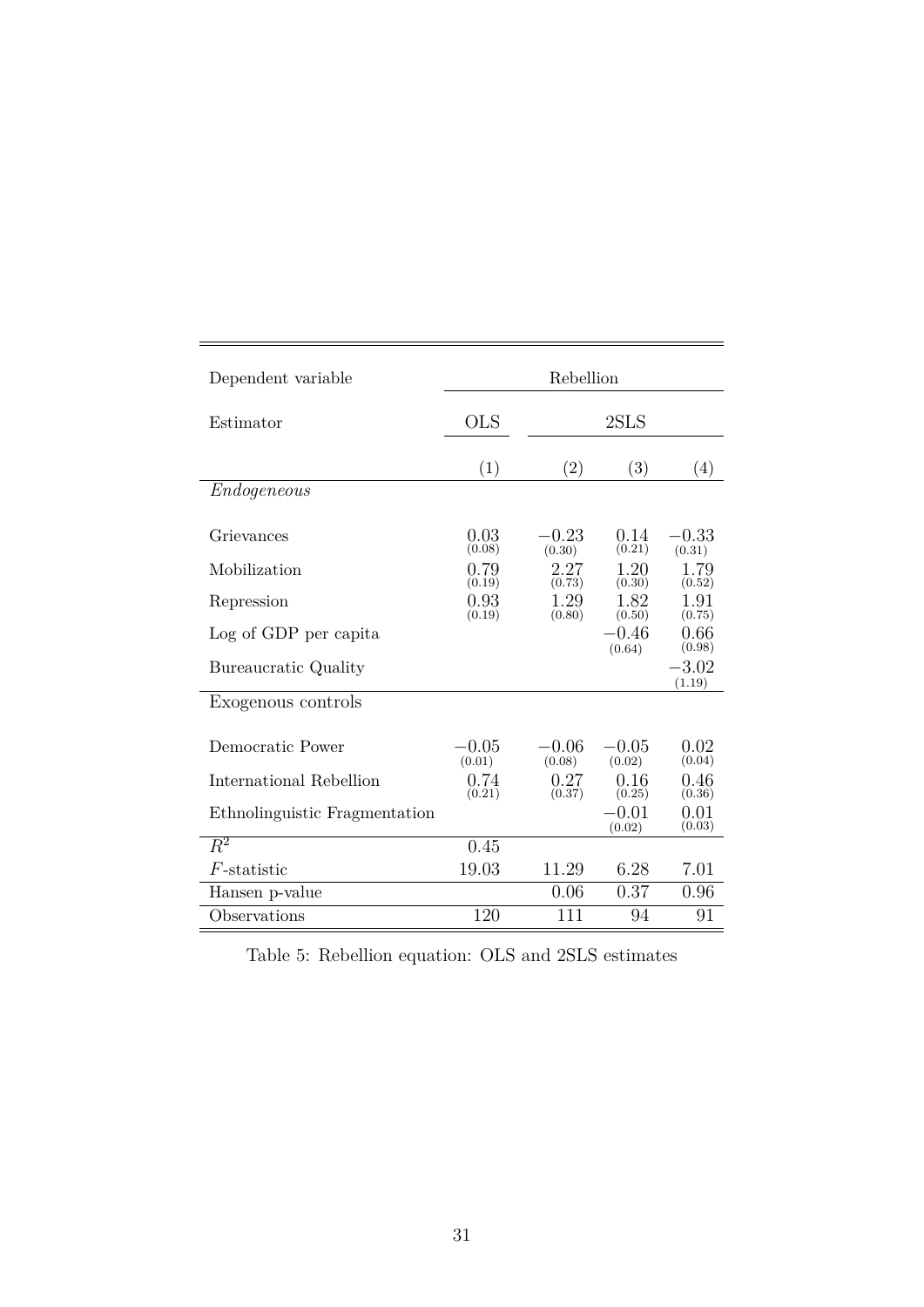| Dependent variable            | Rebellion         |                   |                   |                   |  |  |  |
|-------------------------------|-------------------|-------------------|-------------------|-------------------|--|--|--|
| Estimator                     | <b>OLS</b>        |                   | 2SLS              |                   |  |  |  |
|                               | (1)               | (2)               | (3)               | (4)               |  |  |  |
| Endogeneous                   |                   |                   |                   |                   |  |  |  |
| Grievances                    | 0.03<br>(0.08)    | $-0.23$<br>(0.30) | 0.14<br>(0.21)    | $-0.33$<br>(0.31) |  |  |  |
| Mobilization                  | 0.79<br>(0.19)    | 2.27<br>(0.73)    | 1.20<br>(0.30)    | 1.79<br>(0.52)    |  |  |  |
| Repression                    | 0.93<br>(0.19)    | 1.29<br>(0.80)    | 1.82<br>(0.50)    | 1.91<br>(0.75)    |  |  |  |
| Log of GDP per capita         |                   |                   | $-0.46$<br>(0.64) | 0.66<br>(0.98)    |  |  |  |
| Bureaucratic Quality          |                   |                   |                   | $-3.02$<br>(1.19) |  |  |  |
| Exogenous controls            |                   |                   |                   |                   |  |  |  |
| Democratic Power              | $-0.05$<br>(0.01) | $-0.06$<br>(0.08) | $-0.05$<br>(0.02) | 0.02<br>(0.04)    |  |  |  |
| International Rebellion       | 0.74<br>(0.21)    | 0.27<br>(0.37)    | 0.16<br>(0.25)    | 0.46<br>(0.36)    |  |  |  |
| Ethnolinguistic Fragmentation |                   |                   | $-0.01$<br>(0.02) | 0.01<br>(0.03)    |  |  |  |
| $\overline{R^2}$              | 0.45              |                   |                   |                   |  |  |  |
| $F$ -statistic                | 19.03             | 11.29             | 6.28              | 7.01              |  |  |  |
| Hansen p-value                |                   | 0.06              | 0.37              | 0.96              |  |  |  |
| Observations                  | 120               | 111               | 94                | 91                |  |  |  |

Table 5: Rebellion equation: OLS and 2SLS estimates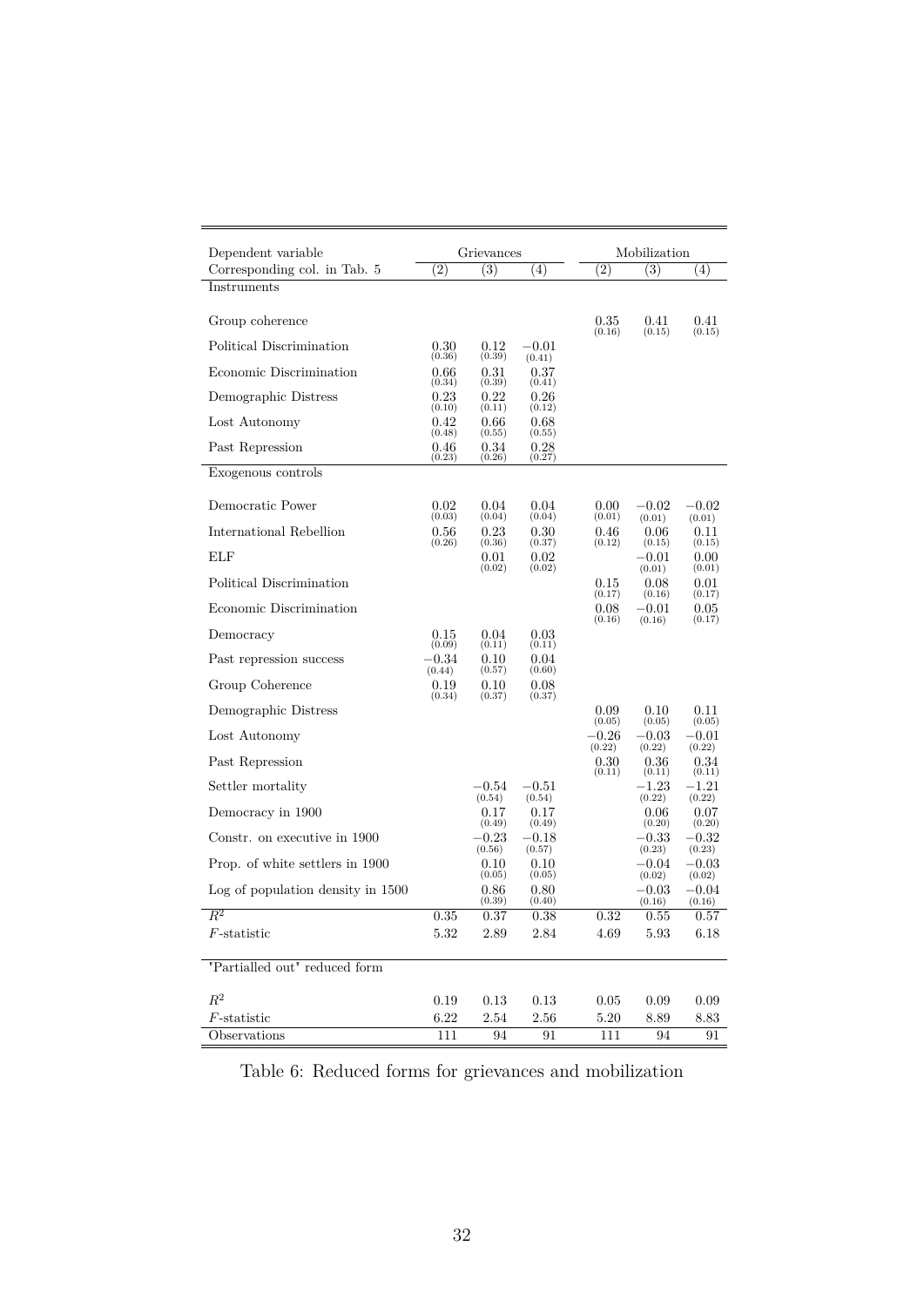| (2)      |                                                                                                  |                                                                                                                                                              |                                                                                                                                                                                 | Mobilization                                                                        |                                                                                                                                                |  |  |
|----------|--------------------------------------------------------------------------------------------------|--------------------------------------------------------------------------------------------------------------------------------------------------------------|---------------------------------------------------------------------------------------------------------------------------------------------------------------------------------|-------------------------------------------------------------------------------------|------------------------------------------------------------------------------------------------------------------------------------------------|--|--|
|          | (3)                                                                                              | (4)                                                                                                                                                          | (2)                                                                                                                                                                             | (3)                                                                                 | (4)                                                                                                                                            |  |  |
|          |                                                                                                  |                                                                                                                                                              |                                                                                                                                                                                 |                                                                                     |                                                                                                                                                |  |  |
|          |                                                                                                  |                                                                                                                                                              | 0.35                                                                                                                                                                            | 0.41                                                                                | 0.41<br>(0.15)                                                                                                                                 |  |  |
| 0.30     | 0.12                                                                                             | $-0.01$                                                                                                                                                      |                                                                                                                                                                                 |                                                                                     |                                                                                                                                                |  |  |
| 0.66     | 0.31                                                                                             | 0.37                                                                                                                                                         |                                                                                                                                                                                 |                                                                                     |                                                                                                                                                |  |  |
| 0.23     | $0.22\,$                                                                                         | 0.26                                                                                                                                                         |                                                                                                                                                                                 |                                                                                     |                                                                                                                                                |  |  |
| 0.42     | 0.66                                                                                             | 0.68                                                                                                                                                         |                                                                                                                                                                                 |                                                                                     |                                                                                                                                                |  |  |
| 0.46     | 0.34                                                                                             | 0.28                                                                                                                                                         |                                                                                                                                                                                 |                                                                                     |                                                                                                                                                |  |  |
|          |                                                                                                  |                                                                                                                                                              |                                                                                                                                                                                 |                                                                                     |                                                                                                                                                |  |  |
| 0.02     | 0.04                                                                                             | 0.04                                                                                                                                                         | 0.00                                                                                                                                                                            | $-0.02\,$                                                                           | $-0.02$                                                                                                                                        |  |  |
| 0.56     | 0.23                                                                                             | 0.30                                                                                                                                                         | 0.46                                                                                                                                                                            | 0.06                                                                                | (0.01)<br>0.11                                                                                                                                 |  |  |
|          | 0.01                                                                                             | 0.02                                                                                                                                                         |                                                                                                                                                                                 | $-0.01$                                                                             | (0.15)<br>0.00                                                                                                                                 |  |  |
|          |                                                                                                  |                                                                                                                                                              | 0.15                                                                                                                                                                            | 0.08                                                                                | (0.01)<br>0.01                                                                                                                                 |  |  |
|          |                                                                                                  |                                                                                                                                                              | 0.08                                                                                                                                                                            | $-0.01$                                                                             | (0.17)<br>$0.05\,$                                                                                                                             |  |  |
| 0.15     | 0.04                                                                                             | 0.03                                                                                                                                                         |                                                                                                                                                                                 |                                                                                     | (0.17)                                                                                                                                         |  |  |
| $-0.34$  | 0.10                                                                                             | 0.04                                                                                                                                                         |                                                                                                                                                                                 |                                                                                     |                                                                                                                                                |  |  |
| 0.19     | 0.10                                                                                             | 0.08                                                                                                                                                         |                                                                                                                                                                                 |                                                                                     |                                                                                                                                                |  |  |
|          |                                                                                                  |                                                                                                                                                              | 0.09                                                                                                                                                                            | 0.10                                                                                | 0.11                                                                                                                                           |  |  |
|          |                                                                                                  |                                                                                                                                                              | $-0.26$                                                                                                                                                                         | $-0.03$                                                                             | (0.05)<br>$-0.01$                                                                                                                              |  |  |
|          |                                                                                                  |                                                                                                                                                              | $0.30\,$                                                                                                                                                                        | 0.36                                                                                | (0.22)<br>0.34                                                                                                                                 |  |  |
|          | $-0.54$                                                                                          | $-0.51\,$                                                                                                                                                    |                                                                                                                                                                                 | $-1.23\,$                                                                           | (0.11)<br>$-1.21$                                                                                                                              |  |  |
|          | 0.17                                                                                             | 0.17                                                                                                                                                         |                                                                                                                                                                                 | 0.06                                                                                | (0.22)<br>0.07                                                                                                                                 |  |  |
|          | $-0.23$                                                                                          | $-0.18\,$                                                                                                                                                    |                                                                                                                                                                                 | $-0.33\,$                                                                           | (0.20)<br>$-0.32$                                                                                                                              |  |  |
|          | $0.10\,$                                                                                         | 0.10                                                                                                                                                         |                                                                                                                                                                                 | $-0.04$                                                                             | (0.23)<br>$-0.03$                                                                                                                              |  |  |
|          | 0.86                                                                                             | 0.80                                                                                                                                                         |                                                                                                                                                                                 | $-0.03$                                                                             | (0.02)<br>$-0.04$                                                                                                                              |  |  |
| 0.35     | 0.37                                                                                             | 0.38                                                                                                                                                         | 0.32                                                                                                                                                                            | 0.55                                                                                | (0.16)<br>0.57                                                                                                                                 |  |  |
| 5.32     | 2.89                                                                                             | 2.84                                                                                                                                                         | 4.69                                                                                                                                                                            | 5.93                                                                                | 6.18                                                                                                                                           |  |  |
|          |                                                                                                  |                                                                                                                                                              |                                                                                                                                                                                 |                                                                                     |                                                                                                                                                |  |  |
| $0.19\,$ | 0.13                                                                                             | 0.13                                                                                                                                                         | 0.05                                                                                                                                                                            | 0.09                                                                                | 0.09                                                                                                                                           |  |  |
| 6.22     | 2.54                                                                                             | 2.56                                                                                                                                                         | 5.20                                                                                                                                                                            | 8.89                                                                                | 8.83<br>91                                                                                                                                     |  |  |
|          | (0.36)<br>(0.34)<br>(0.10)<br>(0.48)<br>(0.23)<br>(0.03)<br>(0.26)<br>(0.09)<br>(0.44)<br>(0.34) | (0.39)<br>(0.39)<br>(0.11)<br>(0.55)<br>(0.26)<br>(0.04)<br>(0.36)<br>(0.02)<br>(0.11)<br>(0.57)<br>(0.37)<br>(0.54)<br>(0.49)<br>(0.56)<br>(0.05)<br>(0.39) | (0.41)<br>(0.41)<br>(0.12)<br>(0.55)<br>(0.27)<br>(0.04)<br>(0.37)<br>(0.02)<br>(0.11)<br>(0.60)<br>(0.37)<br>(0.54)<br>(0.49)<br>(0.57)<br>(0.05)<br>(0.40)<br>111<br>94<br>91 | (0.16)<br>(0.01)<br>(0.12)<br>(0.17)<br>(0.16)<br>(0.05)<br>(0.22)<br>(0.11)<br>111 | (0.15)<br>(0.01)<br>(0.15)<br>(0.01)<br>(0.16)<br>(0.16)<br>(0.05)<br>(0.22)<br>(0.11)<br>(0.22)<br>(0.20)<br>(0.23)<br>(0.02)<br>(0.16)<br>94 |  |  |

Table 6: Reduced forms for grievances and mobilization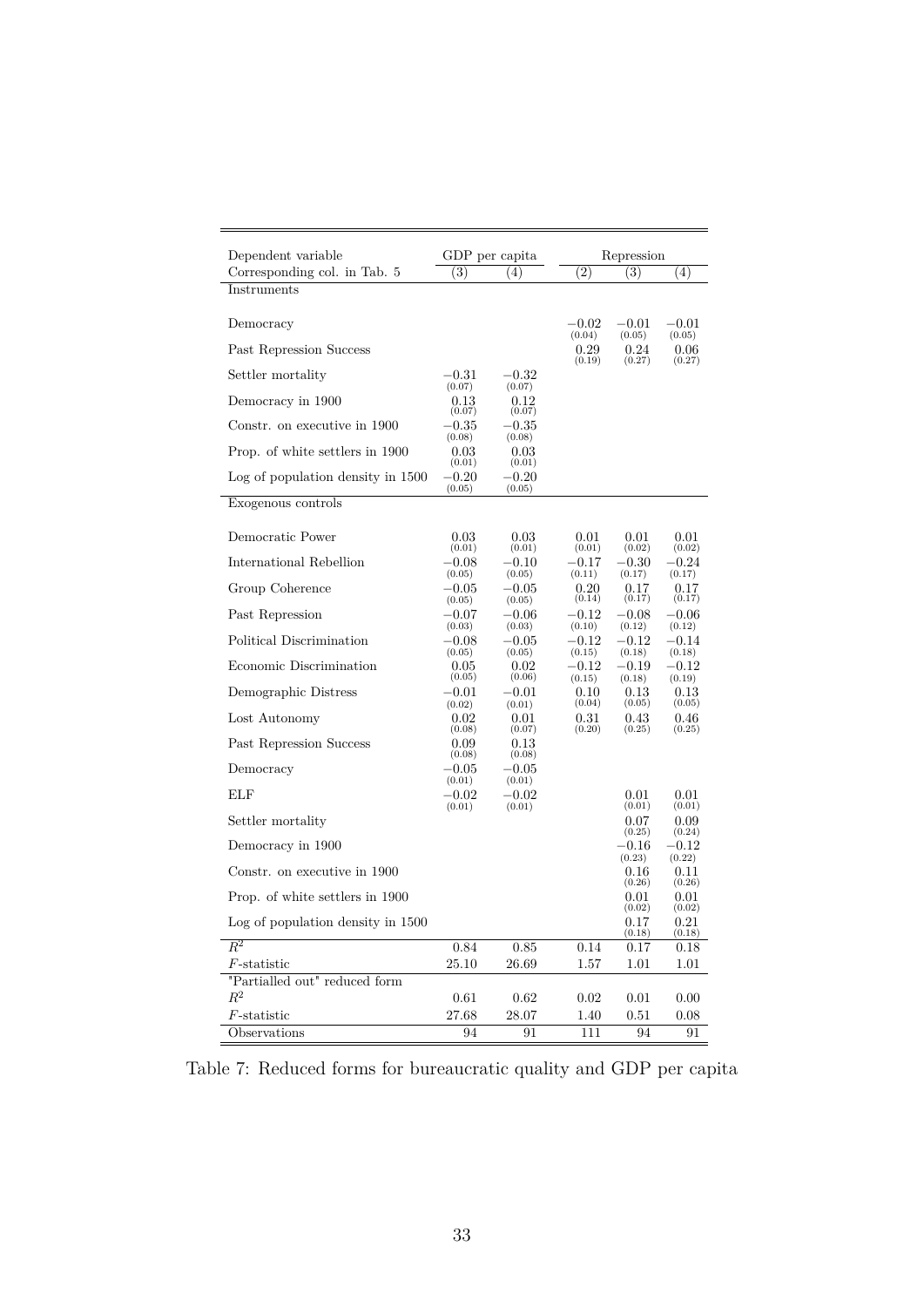| Dependent variable                     |                          | GDP per capita                |                               | Repression                  |                             |
|----------------------------------------|--------------------------|-------------------------------|-------------------------------|-----------------------------|-----------------------------|
| Corresponding col. in Tab. 5           | (3)                      | (4)                           | (2)                           | (3)                         | (4)                         |
| Instruments                            |                          |                               |                               |                             |                             |
| Democracy                              |                          |                               | $-0.02\,$<br>(0.04)           | $-0.01$<br>(0.05)           | $-0.01\,$<br>(0.05)         |
| Past Repression Success                |                          |                               | 0.29<br>(0.19)                | 0.24<br>(0.27)              | 0.06<br>(0.27)              |
| Settler mortality                      | $^{\rm -0.31}$<br>(0.07) | $-0.32\,$<br>(0.07)           |                               |                             |                             |
| Democracy in 1900                      | $0.13\,$<br>(0.07)       | 0.12<br>(0.07)                |                               |                             |                             |
| Constr. on executive in 1900           | $-0.35\,$<br>(0.08)      | $-0.35\,$<br>(0.08)           |                               |                             |                             |
| Prop. of white settlers in 1900        | 0.03<br>(0.01)           | 0.03<br>(0.01)                |                               |                             |                             |
| Log of population density in 1500      | $-0.20$<br>(0.05)        | $-0.20$<br>(0.05)             |                               |                             |                             |
| Exogenous controls                     |                          |                               |                               |                             |                             |
| Democratic Power                       | 0.03                     | 0.03                          | 0.01                          | 0.01                        | 0.01                        |
| International Rebellion                | (0.01)<br>$-0.08$        | (0.01)<br>$-0.10$             | (0.01)<br>$-0.17$             | (0.02)<br>$-0.30\,$         | (0.02)<br>$-0.24\,$         |
| Group Coherence                        | (0.05)<br>$-0.05\,$      | (0.05)<br>$-0.05\,$           | (0.11)<br>0.20                | (0.17)<br>0.17              | (0.17)<br>0.17              |
| Past Repression                        | (0.05)<br>$-0.07\,$      | (0.05)<br>$-0.06\hphantom{0}$ | (0.14)<br>$-0.12\,$           | (0.17)<br>$-0.08$           | (0.17)<br>$-0.06$           |
| Political Discrimination               | (0.03)<br>$-0.08$        | (0.03)<br>$-0.05\,$           | (0.10)<br>$-0.12\,$           | (0.12)<br>$-0.12$           | (0.12)<br>$-0.14$           |
| Economic Discrimination                | (0.05)<br>0.05<br>(0.05) | (0.05)<br>0.02<br>(0.06)      | (0.15)<br>$-0.12\,$<br>(0.15) | (0.18)<br>$-0.19$<br>(0.18) | (0.18)<br>$-0.12$<br>(0.19) |
| Demographic Distress                   | $-0.01$<br>(0.02)        | $-0.01\,$<br>(0.01)           | 0.10<br>(0.04)                | 0.13<br>(0.05)              | 0.13<br>(0.05)              |
| Lost Autonomy                          | 0.02<br>(0.08)           | 0.01<br>(0.07)                | 0.31<br>(0.20)                | 0.43<br>(0.25)              | 0.46<br>(0.25)              |
| Past Repression Success                | 0.09<br>(0.08)           | 0.13<br>(0.08)                |                               |                             |                             |
| Democracy                              | $-0.05$<br>(0.01)        | $-0.05\,$<br>(0.01)           |                               |                             |                             |
| ELF                                    | $-0.02$<br>(0.01)        | $-0.02$<br>(0.01)             |                               | 0.01<br>(0.01)              | 0.01<br>(0.01)              |
| Settler mortality                      |                          |                               |                               | 0.07<br>(0.25)              | 0.09<br>(0.24)              |
| Democracy in 1900                      |                          |                               |                               | $-0.16\,$<br>(0.23)         | $-0.12\,$<br>(0.22)         |
| Constr. on executive in 1900           |                          |                               |                               | 0.16<br>(0.26)              | 0.11<br>(0.26)              |
| Prop. of white settlers in 1900        |                          |                               |                               | 0.01<br>(0.02)              | 0.01<br>(0.02)              |
| Log of population density in 1500      |                          |                               |                               | 0.17<br>(0.18)              | 0.21<br>(0.18)              |
| $R^2$                                  | 0.84                     | 0.85                          | 0.14                          | 0.17                        | 0.18                        |
| $F$ -statistic                         | 25.10                    | 26.69                         | 1.57                          | 1.01                        | 1.01                        |
| "Partialled out" reduced form<br>$R^2$ |                          |                               |                               |                             |                             |
| $F$ -statistic                         | 0.61<br>27.68            | 0.62<br>28.07                 | 0.02<br>1.40                  | 0.01<br>0.51                | 0.00<br>0.08                |
| Observations                           | 94                       | 91                            | 111                           | 94                          | 91                          |

Table 7: Reduced forms for bureaucratic quality and GDP per capita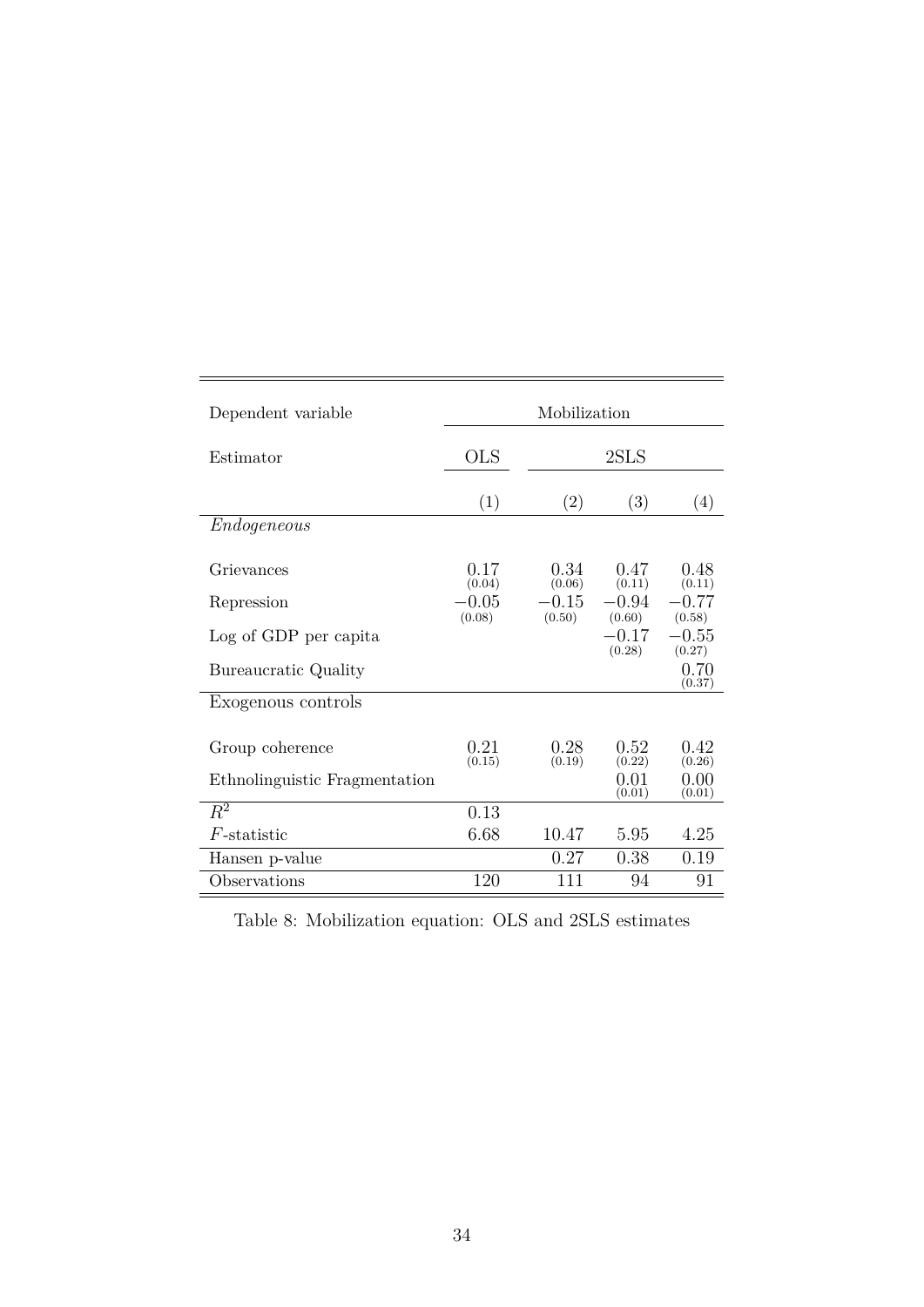| Dependent variable            | Mobilization      |                   |                   |                   |  |  |  |
|-------------------------------|-------------------|-------------------|-------------------|-------------------|--|--|--|
| Estimator                     | <b>OLS</b>        |                   | 2SLS              |                   |  |  |  |
|                               | (1)               | (2)               | (3)               | (4)               |  |  |  |
| Endogeneous                   |                   |                   |                   |                   |  |  |  |
| Grievances                    | 0.17<br>(0.04)    | 0.34<br>(0.06)    | 0.47<br>(0.11)    | 0.48<br>(0.11)    |  |  |  |
| Repression                    | $-0.05$<br>(0.08) | $-0.15$<br>(0.50) | $-0.94$<br>(0.60) | $-0.77$<br>(0.58) |  |  |  |
| Log of GDP per capita         |                   |                   | $-0.17$<br>(0.28) | $-0.55$<br>(0.27) |  |  |  |
| Bureaucratic Quality          |                   |                   |                   | 0.70<br>(0.37)    |  |  |  |
| Exogenous controls            |                   |                   |                   |                   |  |  |  |
| Group coherence               | 0.21<br>(0.15)    | 0.28<br>(0.19)    | 0.52<br>(0.22)    | 0.42<br>(0.26)    |  |  |  |
| Ethnolinguistic Fragmentation |                   |                   | 0.01<br>(0.01)    | 0.00<br>(0.01)    |  |  |  |
| $R^2$                         | 0.13              |                   |                   |                   |  |  |  |
| $F$ -statistic                | 6.68              | 10.47             | 5.95              | 4.25              |  |  |  |
| Hansen p-value                |                   | 0.27              | 0.38              | 0.19              |  |  |  |
| Observations                  | 120               | 111               | 94                | 91                |  |  |  |

L

Table 8: Mobilization equation: OLS and 2SLS estimates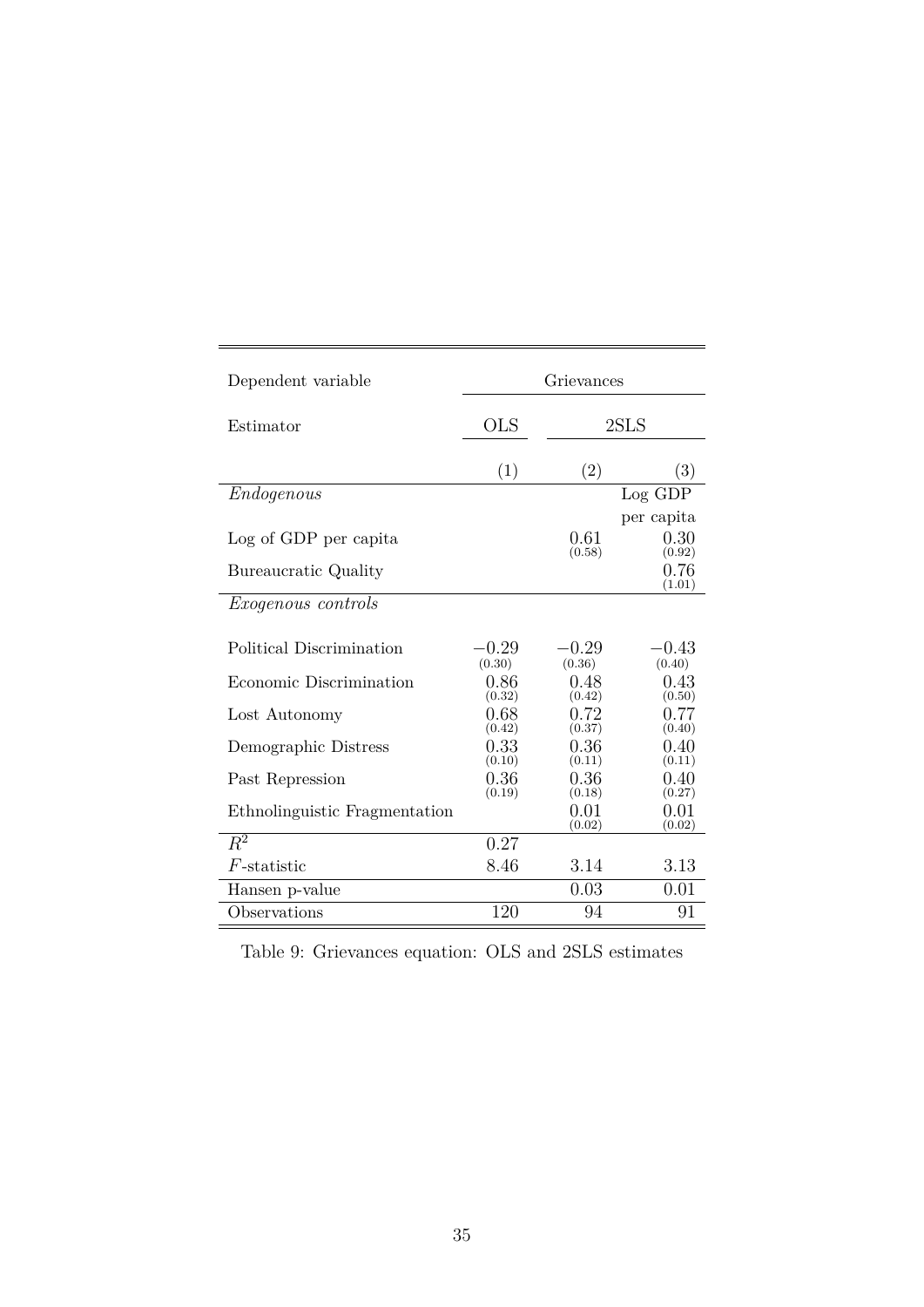| Dependent variable                            | Grievances      |                   |                                                |  |  |  |
|-----------------------------------------------|-----------------|-------------------|------------------------------------------------|--|--|--|
| Estimator                                     | <b>OLS</b>      |                   | 2SLS                                           |  |  |  |
|                                               | (1)             | (2)               | (3)                                            |  |  |  |
| Endogenous                                    |                 |                   | Log GDP                                        |  |  |  |
| Log of GDP per capita<br>Bureaucratic Quality |                 | 0.61<br>(0.58)    | per capita<br>0.30<br>(0.92)<br>0.76<br>(1.01) |  |  |  |
| <i>Exogenous controls</i>                     |                 |                   |                                                |  |  |  |
| Political Discrimination                      | -0.29<br>(0.30) | $-0.29$<br>(0.36) | $-0.43$<br>(0.40)                              |  |  |  |
| Economic Discrimination                       | 0.86<br>(0.32)  | 0.48<br>(0.42)    | 0.43<br>(0.50)                                 |  |  |  |
| Lost Autonomy                                 | 0.68<br>(0.42)  | 0.72<br>(0.37)    | 0.77<br>(0.40)                                 |  |  |  |
| Demographic Distress                          | 0.33<br>(0.10)  | 0.36<br>(0.11)    | 0.40<br>(0.11)                                 |  |  |  |
| Past Repression                               | 0.36<br>(0.19)  | 0.36<br>(0.18)    | 0.40<br>(0.27)                                 |  |  |  |
| Ethnolinguistic Fragmentation                 |                 | 0.01<br>(0.02)    | 0.01<br>(0.02)                                 |  |  |  |
| $R^2$                                         | 0.27            |                   |                                                |  |  |  |
| $F$ -statistic                                | 8.46            | 3.14              | 3.13                                           |  |  |  |
| Hansen p-value                                |                 | 0.03              | 0.01                                           |  |  |  |
| Observations                                  | 120             | 94                | 91                                             |  |  |  |

Table 9: Grievances equation: OLS and 2SLS estimates